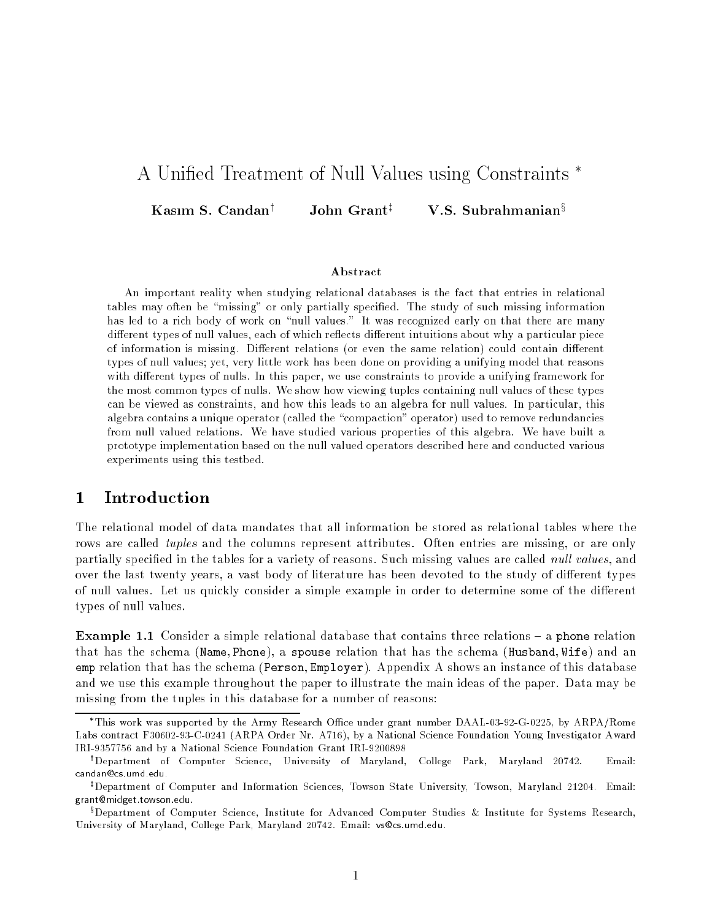# A Unified Treatment of Null Values using Constraints<sup>\*</sup>

Kasım S. Candan | John Grant V.S. Subrahmanian<sup>s</sup>

### Abstract

An important reality when studying relational databases is the fact that entries in relational tables may often be "missing" or only partially specified. The study of such missing information has led to a rich body of work on "null values." It was recognized early on that there are many different types of null values, each of which reflects different intuitions about why a particular piece of information is missing. Different relations (or even the same relation) could contain different types of null values; yet, very little work has been done on providing a unifying model that reasons with different types of nulls. In this paper, we use constraints to provide a unifying framework for the most common types of nulls. We show how viewing tuples containing null values of these types can be viewed as constraints, and how this leads to an algebra for null values. In particular, this algebra contains a unique operator (called the "compaction" operator) used to remove redundancies from null valued relations. We have studied various properties of this algebra. We have built a prototype implementation based on the null valued operators described here and conducted various experiments using this testbed.

#### $\mathbf{1}$ **Introduction**

The relational model of data mandates that all information be stored as relational tables where the rows are called *tuples* and the columns represent attributes. Often entries are missing, or are only partially specified in the tables for a variety of reasons. Such missing values are called *null values*, and over the last twenty years, a vast body of literature has been devoted to the study of different types of null values. Let us quickly consider a simple example in order to determine some of the different types of null values.

Example 1.1 Consider a simple relational database that contains three relations { a phone relation that has the schema (Name; Phone), a spouse relation that has the schema (Husband; Wife) and an emp relation that has the schema (Person; Employer). Appendix A shows an instance of this database and we use this example throughout the paper to illustrate the main ideas of the paper. Data may be missing from the tuples in this database for a number of reasons:

This work was supported by the Army Research Oce under grant number DAAL-03-92-G-0225, by ARPA/Rome Labs contract F30602-93-C-0241 (ARPA Order Nr. A716), by a National Science Foundation Young Investigator Award IRI-9357756 and by a National Science Foundation Grant IRI-9200898

y Department of Computer Science, University of Maryland, College Park, Maryland 20742. Email: candan@cs.umd.edu.

z Department of Computer and Information Sciences, Towson State University, Towson, Maryland 21204. Email: grant@midget.towson.edu.

x Department of Computer Science, Institute for Advanced Computer Studies & Institute for Systems Research, University of Maryland, College Park, Maryland 20742. Email: vs@cs.umd.edu.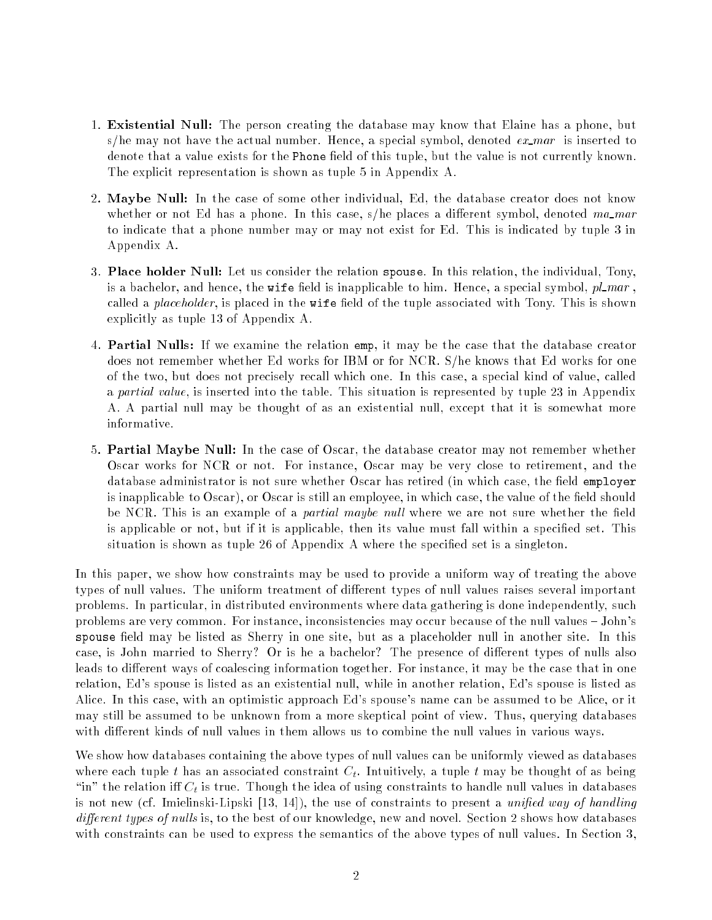- 1. Existential Null: The person creating the database may know that Elaine has a phone, but s/he may not have the actual number. Hence, a special symbol, denoted  $ex\_mar$  is inserted to denote that a value exists for the Phone field of this tuple, but the value is not currently known. The explicit representation is shown as tuple 5 in Appendix A.
- 2. Maybe Null: In the case of some other individual, Ed, the database creator does not know whether or not Ed has a phone. In this case,  $s/he$  places a different symbol, denoted ma mar to indicate that a phone number may or may not exist for Ed. This is indicated by tuple 3 in Appendix A.
- 3. Place holder Null: Let us consider the relation spouse. In this relation, the individual, Tony, is a bachelor, and hence, the wife field is inapplicable to him. Hence, a special symbol,  $pl\_mar$ , called a *placeholder*, is placed in the wife field of the tuple associated with Tony. This is shown explicitly as tuple 13 of Appendix A.
- 4. Partial Nulls: If we examine the relation emp, it may be the case that the database creator does not remember whether Ed works for IBM or for NCR. S/he knows that Ed works for one of the two, but does not precisely recall which one. In this case, a special kind of value, called a partial value, is inserted into the table. This situation is represented by tuple 23 in Appendix A. A partial null may be thought of as an existential null, except that it is somewhat more informative.
- 5. Partial Maybe Null: In the case of Oscar, the database creator may not remember whether Oscar works for NCR or not. For instance, Oscar may be very close to retirement, and the database administrator is not sure whether Oscar has retired (in which case, the field employer is inapplicable to Oscar), or Oscar is still an employee, in which case, the value of the field should be NCR. This is an example of a *partial maybe null* where we are not sure whether the field is applicable or not, but if it is applicable, then its value must fall within a specified set. This situation is shown as tuple 26 of Appendix A where the specified set is a singleton.

In this paper, we show how constraints may be used to provide a uniform way of treating the above types of null values. The uniform treatment of different types of null values raises several important problems. In particular, in distributed environments where data gathering is done independently, such problems are very common. For instance, inconsistencies may occur because of the null values - John's spouse field may be listed as Sherry in one site, but as a placeholder null in another site. In this case, is John married to Sherry? Or is he a bachelor? The presence of different types of nulls also leads to different ways of coalescing information together. For instance, it may be the case that in one relation, Ed's spouse is listed as an existential null, while in another relation, Ed's spouse is listed as Alice. In this case, with an optimistic approach Ed's spouse's name can be assumed to be Alice, or it may still be assumed to be unknown from a more skeptical point of view. Thus, querying databases with different kinds of null values in them allows us to combine the null values in various ways.

We show how databases containing the above types of null values can be uniformly viewed as databases where each tuple t has an associated constraint  $C_t$ . Intuitively, a tuple t may be thought of as being "in" the relation iff  $C_t$  is true. Though the idea of using constraints to handle null values in databases is not new (cf. Imielinski-Lipski  $[13, 14]$ ), the use of constraints to present a *unified way of handling* different types of nulls is, to the best of our knowledge, new and novel. Section 2 shows how databases with constraints can be used to express the semantics of the above types of null values. In Section 3,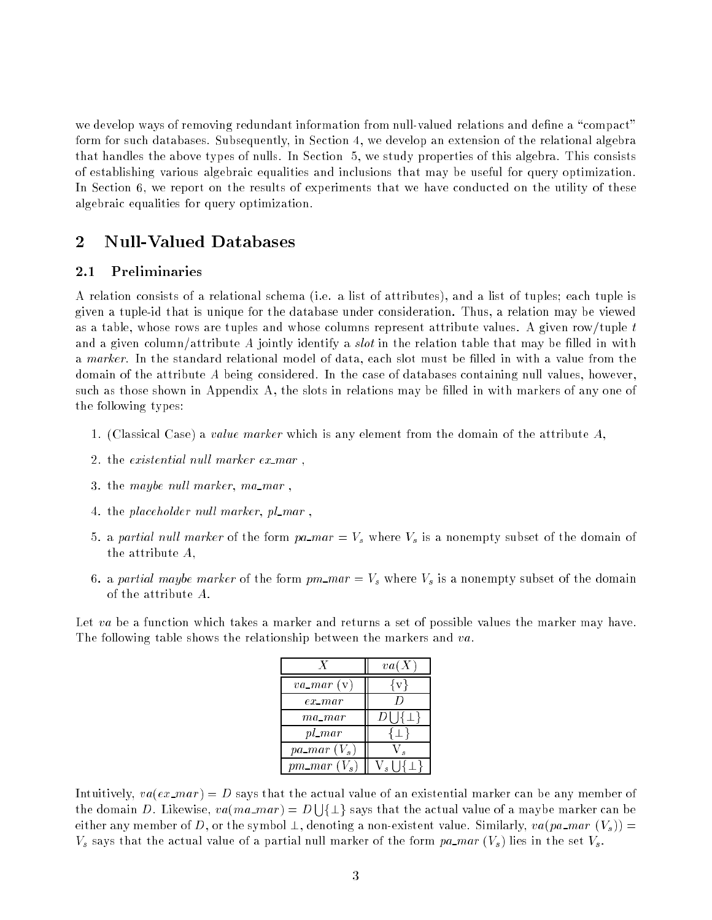we develop ways of removing redundant information from null-valued relations and define a "compact" form for such databases. Subsequently, in Section 4, we develop an extension of the relational algebra that handles the above types of nulls. In Section 5, we study properties of this algebra. This consists of establishing various algebraic equalities and inclusions that may be useful for query optimization. In Section 6, we report on the results of experiments that we have conducted on the utility of these algebraic equalities for query optimization.

### 2 Null-Valued Databases

#### 2.1 Preliminaries

A relation consists of a relational schema (i.e. a list of attributes), and a list of tuples; each tuple is given a tuple-id that is unique for the database under consideration. Thus, a relation may be viewed as a table, whose rows are tuples and whose columns represent attribute values. A given row/tuple t and a given column/attribute A jointly identify a *slot* in the relation table that may be filled in with a marker. In the standard relational model of data, each slot must be filled in with a value from the domain of the attribute  $A$  being considered. In the case of databases containing null values, however, such as those shown in Appendix A, the slots in relations may be filled in with markers of any one of the following types:

- 1. (Classical Case) a value marker which is any element from the domain of the attribute  $A$ ,
- 2. the existential null marker  $ex\_mar$ ,
- 3. the maybe null marker, ma\_mar,
- 4. the placeholder null marker, pl\_mar,
- 5. a partial null marker of the form pa mar =  $V_s$  where  $V_s$  is a nonempty subset of the domain of the attribute A,
- 6. a partial maybe marker of the form  $pm_m$  mar =  $V_s$  where  $V_s$  is a nonempty subset of the domain of the attribute A.

Let va be a function which takes a marker and returns a set of possible values the marker may have. The following table shows the relationship between the markers and va.

|                           | va(X)               |
|---------------------------|---------------------|
| $va\_mar(v)$              | { v }               |
| $ex\_mar$                 |                     |
| ma_mar                    | $D\sqcup \{ \pm \}$ |
| $pl\_mar$                 |                     |
| $pa\_mar$ $(V_s)$         |                     |
| $pm\_mar$ (V <sub>s</sub> |                     |

Intuitively,  $va(ex\_mar) = D$  says that the actual value of an existential marker can be any member of the domain D. Likewise,  $va(ma\_mar) = D \cup \{\perp\}$  says that the actual value of a maybe marker can be either any member of D, or the symbol  $\perp$ , denoting a non-existent value. Similarly, va(pa\_mar  $(V_s)$ ) =  $V_s$  says that the actual value of a partial null marker of the form pa mar  $(V_s)$  lies in the set  $V_s$ .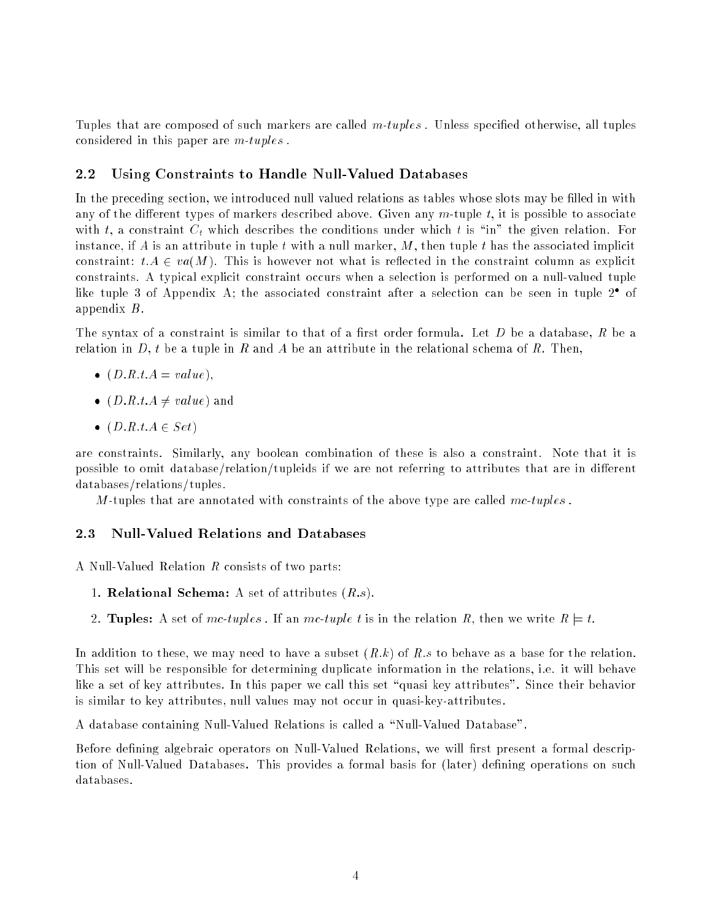Tuples that are composed of such markers are called  $m\text{-}tuples$ . Unless specified otherwise, all tuples considered in this paper are m-tuples .

#### 2.2Using Constraints to Handle Null-Valued Databases

In the preceding section, we introduced null valued relations as tables whose slots may be filled in with any of the different types of markers described above. Given any  $m$ -tuple t, it is possible to associate with t, a constraint  $C_t$  which describes the conditions under which t is "in" the given relation. For instance, if A is an attribute in tuple t with a null marker,  $M$ , then tuple t has the associated implicit constraint:  $t.A \in va(M)$ . This is however not what is reflected in the constraint column as explicit constraints. A typical explicit constraint occurs when a selection is performed on a null-valued tuple  $\,$  mke tuple 3 of Appendix A; the associated constraint after a selection can be seen in tuple 2  $\,$  of appendix B.

The syntax of a constraint is similar to that of a first order formula. Let  $D$  be a database,  $R$  be a relation in D, t be a tuple in R and A be an attribute in the relational schema of R. Then,

- $\lambda$  =  $\lambda$  =  $\lambda$  =  $\lambda$  =  $\lambda$  =  $\lambda$  +  $\lambda$  =  $\lambda$  +  $\lambda$  +  $\lambda$  +  $\lambda$  +  $\lambda$  +  $\lambda$  +  $\lambda$  +  $\lambda$  +  $\lambda$  +  $\lambda$  +  $\lambda$  +  $\lambda$  +  $\lambda$  +  $\lambda$  +  $\lambda$  +  $\lambda$  +  $\lambda$  +  $\lambda$  +  $\lambda$  +  $\lambda$  +  $\lambda$  +  $\lambda$  +  $\lambda$  +  $\lambda$  +  $\lambda$
- (D:R:t:A 6= value) and
- (D:R:t:A <sup>2</sup> Set)

are constraints. Similarly, any boolean combination of these is also a constraint. Note that it is possible to omit database/relation/tupleids if we are not referring to attributes that are in different databases/relations/tuples.

M-tuples that are annotated with constraints of the above type are called  $mc\text{-}tuples$ .

#### 2.3Null-Valued Relations and Databases

A Null-Valued Relation R consists of two parts:

- 1. **Relational Schema:** A set of attributes  $(R.s)$ .
- 2. Tuples: A set of mc-tuples. If an mc-tuple t is in the relation R, then we write  $R \models t$ .

In addition to these, we may need to have a subset  $(R,k)$  of R:s to behave as a base for the relation. This set will be responsible for determining duplicate information in the relations, i.e. it will behave like a set of key attributes. In this paper we call this set "quasi key attributes". Since their behavior is similar to key attributes, null values may not occur in quasi-key-attributes.

A database containing Null-Valued Relations is called a \Null-Valued Database".

Before defining algebraic operators on Null-Valued Relations, we will first present a formal description of Null-Valued Databases. This provides a formal basis for (later) defining operations on such databases.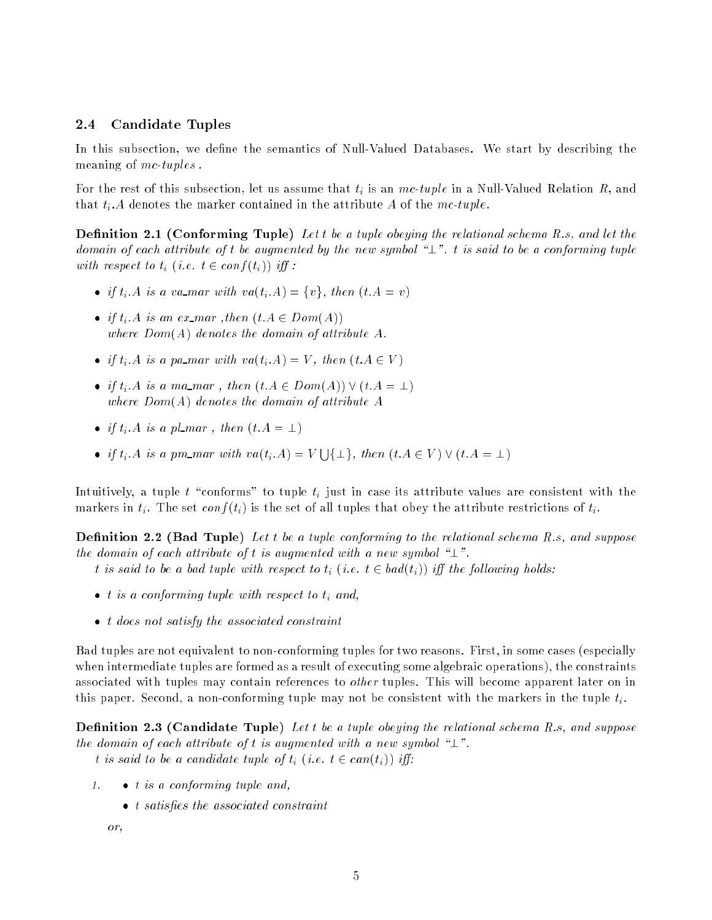#### 2.4Candidate Tuples

In this subsection, we define the semantics of Null-Valued Databases. We start by describing the meaning of mc-tuples.

For the rest of this subsection, let us assume that  $t_i$  is an  $mc\text{-}tuple$  in a Null-Valued Relation  $R$ , and that  $t_i$ . A denotes the marker contained in the attribute A of the mc-tuple.

Denition 2.1 (Conforming Tuple) Let t be a tuple obeying the relational schema R:s, and let the domain of each attribute of t be augmented by the new symbol " $\perp$ ". t is said to be a conforming tuple with respect to  $t_i$  (i.e.  $t \in conf(t_i)$ ) iff:

- if time is a variant with value  $\{i:Y\}$  . For the contract  $\{i:Y\}$
- if time is an extracted (then  $\epsilon = \epsilon$  and  $\epsilon$ where  $Dom(A)$  denotes the domain of attribute A.
- if  $\alpha$  is a parmar with va(time)  $\alpha$  , then (time  $\alpha$  )
- if the matrix of the matrix  $\alpha$  is a matrix  $\alpha$  and  $\alpha$   $\alpha$   $\alpha$   $\alpha$   $\alpha$ where  $Dom(A)$  denotes the domain of attribute A
- if the planet  $\alpha$  is a planet term of  $\alpha$  is a planet of  $\alpha$  and  $\alpha$
- if  $t_i.A$  is a pm\_mar with  $va(t_i.A) = V \bigcup {\perp}$ , then  $(t.A \in V) \vee (t.A = \perp)$

Intuitively, a tuple  $t$  "conforms" to tuple  $t_i$  just in case its attribute values are consistent with the markers in  $t_i$ . The set conf( $t_i$ ) is the set of all tuples that obey the attribute restrictions of  $t_i$ .

 $\blacksquare$  . 2.2 (  $\blacksquare$  )  $\blacksquare$  . The a tuple conformation  $\blacksquare$  . The relation  $\blacksquare$  . The relation  $\blacksquare$ the domain of each attribute of t is augmented with a new symbol " $\perp$ ".

- t is said to be a bad tuple with respect to  $t_i$  (i.e.  $t \in bad(t_i)$ ) iff the following holds:
- t is a conforming tuple with respect to time with
- t does not satisfy the associated constraint

Bad tuples are not equivalent to non-conforming tuples for two reasons. First, in some cases (especially when intermediate tuples are formed as a result of executing some algebraic operations), the constraints associated with tuples may contain references to *other* tuples. This will become apparent later on in this paper. Second, a non-conforming tuple may not be consistent with the markers in the tuple  $t_i$ .

Denition 2.3 (Candidate Tuple) Let t be a tuple obeying the relational schema R:s, and suppose the domain of each attribute of t is augmented with a new symbol " $\perp$ ".

t is said to be a candidate tuple of  $t_i$  (i.e.  $t \in can(t_i)$ ) iff:

- 1.  $\bullet$  t is a conforming tuple and
	- t satisfest chief meer en den en den de meer

```
or,
```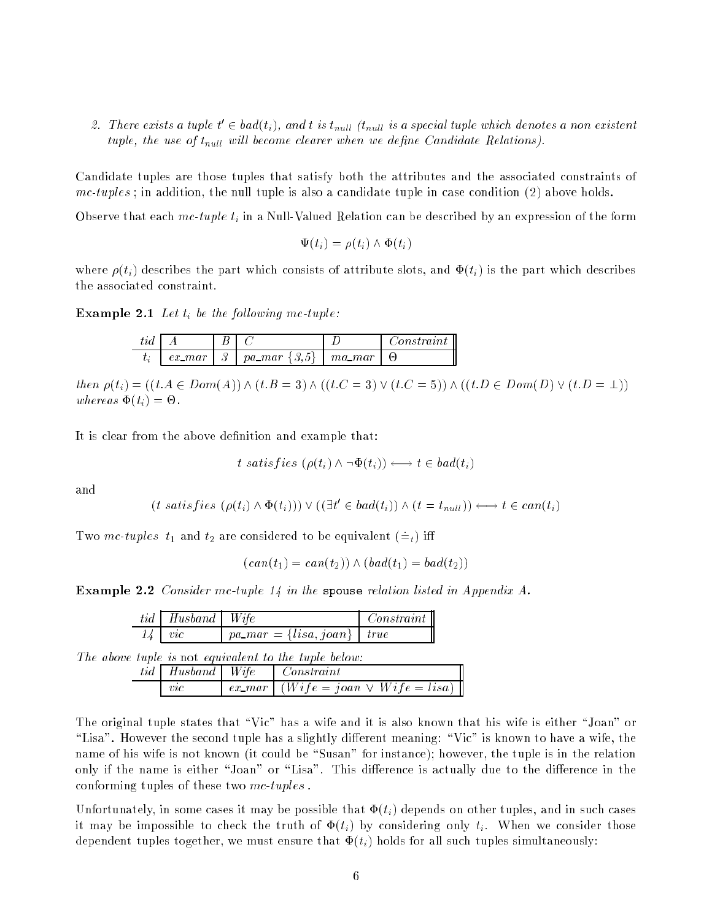2. There exists a tuple  $t \in oaa(t_i)$ , and t is t<sub>null</sub> th<sub>ull</sub> is a special tuple which denotes a non existent tuple, the use of  $t<sub>null</sub>$  will become clearer when we define Candidate Relations).

Candidate tuples are those tuples that satisfy both the attributes and the associated constraints of  $mc-tuples$ ; in addition, the null tuple is also a candidate tuple in case condition (2) above holds.

Observe that each mc-tuple  $t_i$  in a Null-Valued Relation can be described by an expression of the form

 $\Psi(t_i) = \rho(t_i) \wedge \Phi(t_i)$ 

where  $\rho(t_i)$  describes the part which consists of attribute slots, and  $\Phi(t_i)$  is the part which describes the associated constraint.

 $-$  --------  $\vdash$   $-$  .  $-$  .  $-$  .  $-$  .  $-$  .  $-$  .  $-$  .  $-$  .  $-$  .  $-$  .  $-$  .  $-$  .  $-$  .  $-$  .  $-$  .  $-$  .  $-$  .  $-$  .  $-$  .  $-$  .  $-$  .  $-$  .  $-$  .  $-$  .  $-$  .  $-$  .  $-$  .  $-$  .  $-$  .  $-$  .  $-$  .  $-$  .  $-$  .  $-$ 

| tıd |          |   |                |           | 'onstraınt |
|-----|----------|---|----------------|-----------|------------|
| U a | $ex$ mar | റ | ൭<br>$pa\_mar$ | $ma\_mar$ | ſн         |

 $then \rho(t_i) = ((t.A \in Dom(A)) \wedge (t.B = 3) \wedge ((t.C = 3) \vee (t.C = 5)) \wedge ((t.B \in Dom(D) \vee (t.D = \bot))$ where  $\mathbf{v}$  is  $\mathbf{v}$  and  $\mathbf{v}$  and  $\mathbf{v}$  and  $\mathbf{v}$  and  $\mathbf{v}$  and  $\mathbf{v}$  and  $\mathbf{v}$  and  $\mathbf{v}$  and  $\mathbf{v}$  and  $\mathbf{v}$  and  $\mathbf{v}$  and  $\mathbf{v}$  and  $\mathbf{v}$  and  $\mathbf{v}$  and  $\mathbf{v}$  and  $\mathbf{v}$ 

It is clear from the above definition and example that:

$$
t \; satisfies \; (\rho(t_i) \land \neg \Phi(t_i)) \longleftrightarrow t \in bad(t_i)
$$

and

$$
(t \; satisfies \; (\rho(t_i) \land \Phi(t_i))) \lor ((\exists t' \in bad(t_i)) \land (t = t_{null})) \longleftrightarrow t \in can(t_i)
$$

Two mc-tuples  $t_1$  and  $t_2$  are considered to be equivalent  $(=_t)$  iff

$$
(can(t_1) = can(t_2)) \wedge (bad(t_1) = bad(t_2))
$$

Example 2.2 Consider mc-tuple 14 in the spouse relation listed in Appendix A.

|  | $tid \mid Husband \mid Wife$ |                                                       | Constant                                   |  |
|--|------------------------------|-------------------------------------------------------|--------------------------------------------|--|
|  | $\mathit{vic}$               | $pa\_mar = \{lisa, joan\}$   true                     |                                            |  |
|  |                              | The above tuple is not equivalent to the tuple below: |                                            |  |
|  |                              | $tid \mid Husband \mid Wife \mid Constant$            |                                            |  |
|  | $\mathit{vc}$                |                                                       | $ex\_mar$ $(Wife = joan \vee Wife = lisa)$ |  |

The original tuple states that "Vic" has a wife and it is also known that his wife is either "Joan" or "Lisa". However the second tuple has a slightly different meaning: "Vic" is known to have a wife, the name of his wife is not known (it could be "Susan" for instance); however, the tuple is in the relation only if the name is either "Joan" or "Lisa". This difference is actually due to the difference in the conforming tuples of these two mc-tuples .

Unfortunately, in some cases it may be possible that  $\Phi(t_i)$  depends on other tuples, and in such cases it may be impossible to check the truth of  $\Phi(t_i)$  by considering only  $t_i$ . When we consider those dependent tuples together, we must ensure that  $\Phi(t_i)$  holds for all such tuples simultaneously: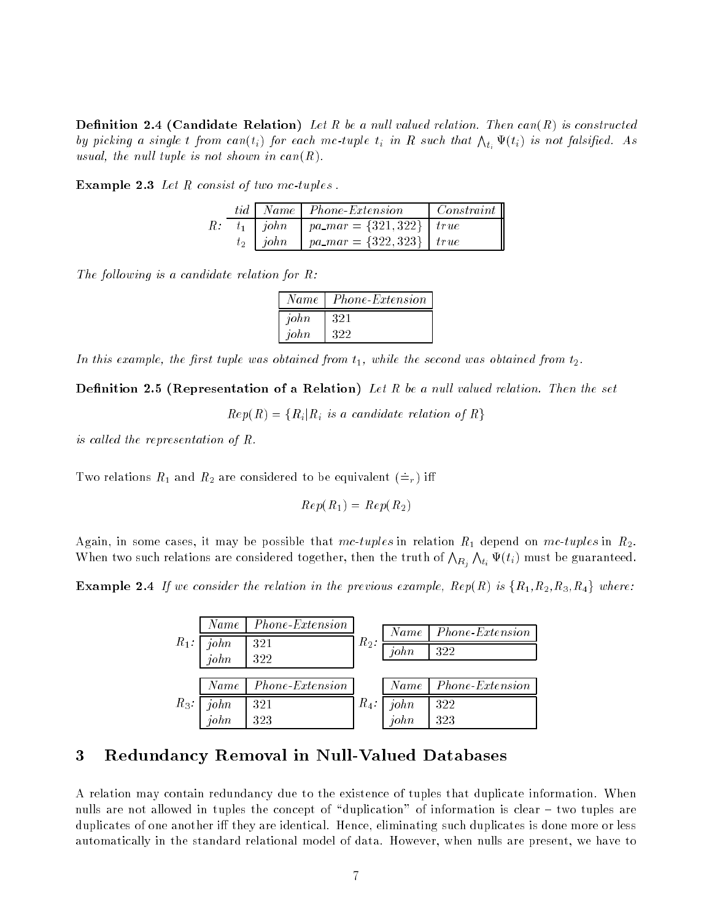Denition 2.4 (Candidate Relation) Let R be a nul l valued relation. Then can(R) is constructed by picking a single t from  $can(t_i)$  for each mc-tuple  $t_i$  in R such that  $\bigwedge_{t_i} \Psi(t_i)$  is not falsified. As usual, the null tuple is not shown in  $can(R)$ .

|  |  |  |  |  | <b>Example 2.3</b> Let $R$ consist of two mc-tuples. |  |
|--|--|--|--|--|------------------------------------------------------|--|
|--|--|--|--|--|------------------------------------------------------|--|

|  | tid   Name   Phone-Extension                | $\mid Constant$ |
|--|---------------------------------------------|-----------------|
|  | R: $t_1$   john   pa_mar = {321,322}   true |                 |
|  | $t_2$   john   pa_mar = {322,323}   true    |                 |

The following is a candidate relation for  $R$ :

| Name | Phone-Extension |
|------|-----------------|
| john | 321             |
| john | 322             |

In this example, the first tuple was obtained from  $t_1$ , while the second was obtained from  $t_2$ .

Denition 2.5 (Representation of <sup>a</sup> Relation) Let R be a nul l valued relation. Then the set

 $Rep(R) = \{R_i | R_i$  is a candidate relation of R $\}$ 

is called the representation of  $R$ .

Two relations  $R_1$  and  $R_2$  are considered to be equivalent  $(=_r)$  iff

$$
Rep(R_1) = Rep(R_2)
$$

Again, in some cases, it may be possible that mc-tuples in relation  $R_1$  depend on mc-tuples in  $R_2$ . When two such relations are considered together, then the truth of  $\bigwedge_{R_i}$  $\bigwedge_{t_i}\Psi(t_i)$  must be guaranteed.

Example 2.4 If we consider the relation in the previous example, Rep(R) is fR1,R2,R3,R4g where:

|         | Name         | Phone-Extension |         | Name <sub>1</sub> | <i>Phone-Extension</i> |
|---------|--------------|-----------------|---------|-------------------|------------------------|
| $R_1$ : | john<br>john | 321<br>322      | $R_2$ : | $\iota$ iohn      | 322                    |
|         |              |                 |         |                   |                        |
|         | Name         | Phone-Extension |         | Name <sub>1</sub> | <i>Phone-Extension</i> |
| $R_3$ : | john         | 321             | $R_4$ : | john              | 322                    |
|         | $\iota$      | 323             |         | $\iota$           | 323                    |

### 3 Redundancy Removal in Null-Valued Databases

A relation may contain redundancy due to the existence of tuples that duplicate information. When nulls are not allowed in tuples the concept of "duplication" of information is clear  $-$  two tuples are duplicates of one another iff they are identical. Hence, eliminating such duplicates is done more or less automatically in the standard relational model of data. However, when nulls are present, we have to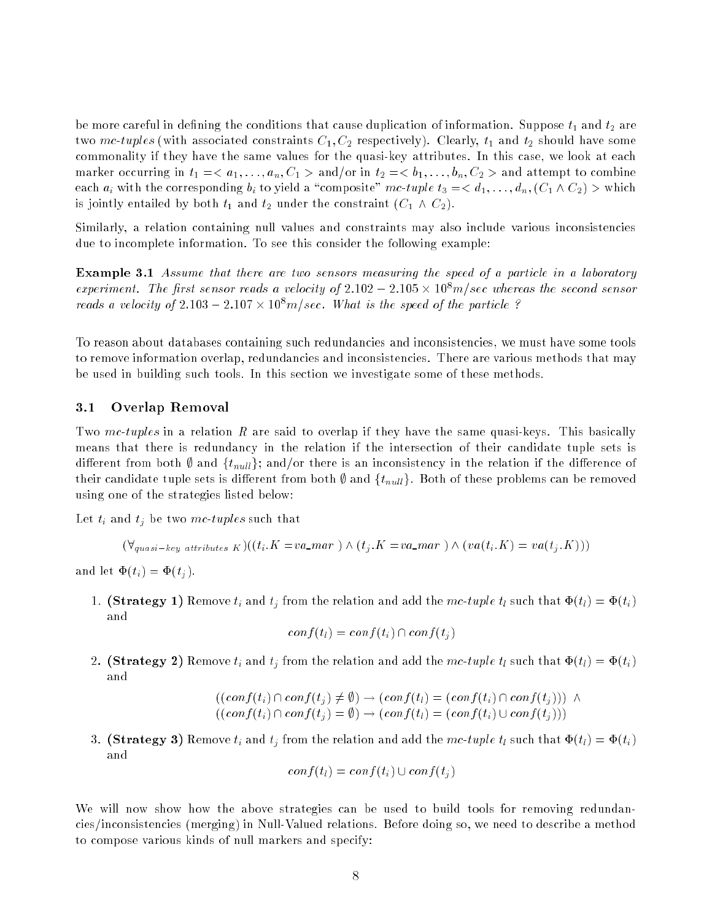be more careful in defining the conditions that cause duplication of information. Suppose  $t_1$  and  $t_2$  are two mc-tuples (with associated constraints  $C_1, C_2$  respectively). Clearly,  $t_1$  and  $t_2$  should have some commonality if they have the same values for the quasi-key attributes. In this case, we look at each marker occurring in  $t_1 = \langle a_1, \ldots, a_n, C_1 \rangle$  and/or in  $t_2 = \langle b_1, \ldots, b_n, C_2 \rangle$  and attempt to combine each  $a_i$  with the corresponding  $b_i$  to yield a "composite" mc-tuple  $t_3 = < d_1, \ldots, d_n$ ,  $(C_1 \wedge C_2) >$  which is jointly entailed by both  $t_1$  and  $t_2$  under the constraint  $(C_1 \wedge C_2)$ .

Similarly, a relation containing null values and constraints may also include various inconsistencies due to incomplete information. To see this consider the following example:

Example 3.1 Assume that the sensor measure and two sensors measurement and speed of a particle in a laboratory  $experiments$  . The first sensor reads a velocity of 2.102  $-$  2.105  $\times$  10 m/sec whereas the second sensor reads a velocity of 2.103  $-$  2.104  $\times$  10°  $m/s$  ec. What is the speed of the particle :

To reason about databases containing such redundancies and inconsistencies, we must have some tools to remove information overlap, redundancies and inconsistencies. There are various methods that may be used in building such tools. In this section we investigate some of these methods.

#### 3.1Overlap Removal

Two mc-tuples in a relation R are said to overlap if they have the same quasi-keys. This basically means that there is redundancy in the relation if the intersection of their candidate tuple sets is different from both  $\emptyset$  and  $\{t_{null}\}$ ; and/or there is an inconsistency in the relation if the difference of their candidate tuple sets is different from both  $\emptyset$  and  $\{t_{null}\}\$ . Both of these problems can be removed using one of the strategies listed below:

Let  $t_i$  and  $t_j$  be two mc-tuples such that

$$
(\forall_{quasi-key\ attributes\ K})((t_i.K = va\_mar) \land (t_i.K = va\_mar) \land (va(t_i.K) = va(t_i.K)))
$$

and let  $\Phi(t_i) = \Phi(t_i)$ .

1. (Strategy 1) Remove  $t_i$  and  $t_j$  from the relation and add the mc-tuple  $t_l$  such that  $\Phi(t_l) = \Phi(t_i)$ 

$$
conf(t_l) = conf(t_i) \cap conf(t_j)
$$

2. (Strategy 2) Remove  $t_i$  and  $t_j$  from the relation and add the mc-tuple  $t_l$  such that  $\Phi(t_l) = \Phi(t_i)$ and

$$
((conf(t_i) \cap conf(t_j) \neq \emptyset) \rightarrow (conf(t_l) = (conf(t_i) \cap conf(t_j))) \land ((conf(t_i) \cap conf(t_j) = \emptyset) \rightarrow (conf(t_l) = (conf(t_i) \cup conf(t_j)))
$$

3. (Strategy 3) Remove  $t_i$  and  $t_j$  from the relation and add the mc-tuple  $t_l$  such that  $\Phi(t_l) = \Phi(t_i)$ and

$$
conf(t_l) = conf(t_i) \cup conf(t_j)
$$

We will now show how the above strategies can be used to build tools for removing redundancies/inconsistencies (merging) in Null-Valued relations. Before doing so, we need to describe a method to compose various kinds of null markers and specify: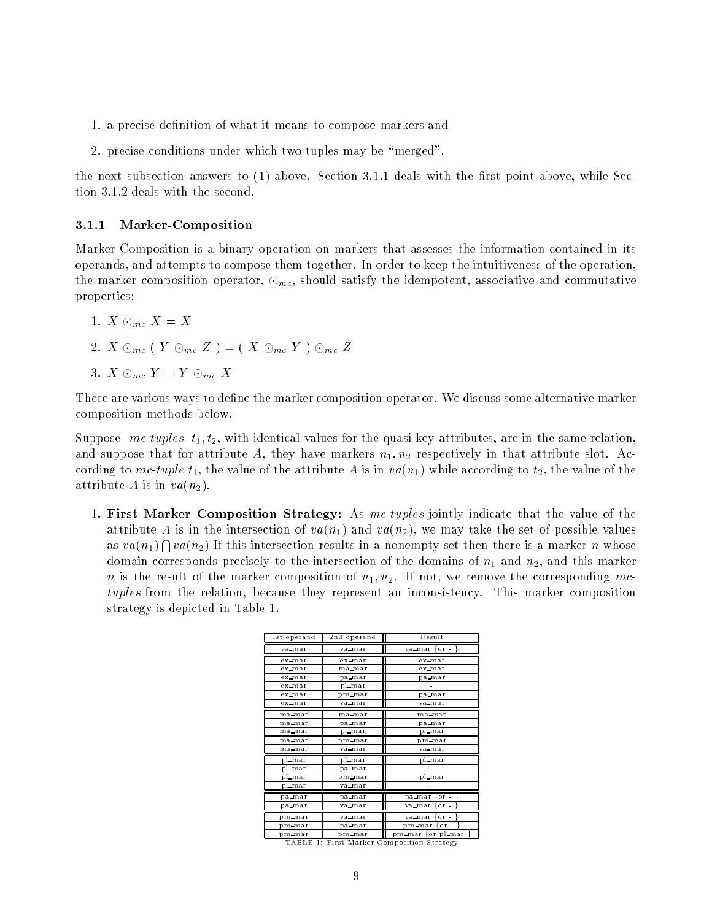- 1. a precise denition of what it means to compose markers and
- 2. precise conditions under which two tuples may be "merged".

the next subsection answers to  $(1)$  above. Section 3.1.1 deals with the first point above, while Section 3.1.2 deals with the second.

#### 3.1.1Marker-Composition

Marker-Composition is a binary operation on markers that assesses the information contained in its operands, and attempts to compose them together. In order to keep the intuitiveness of the operation, the marker composition operator,  $\odot_{mc}$ , should satisfy the idempotent, associative and commutative properties:

1. 
$$
X \odot_{mc} X = X
$$

- 2.  $X \odot_{mc} (Y \odot_{mc} Z) = (X \odot_{mc} Y) \odot_{mc} Z$
- 3.  $X \odot_{mc} Y = Y \odot_{mc} X$

There are various ways to define the marker composition operator. We discuss some alternative marker composition methods below.

Suppose  $mc\text{-}tuples$   $t_1, t_2$ , with identical values for the quasi-key attributes, are in the same relation. and suppose that for attribute A, they have markers  $n_1, n_2$  respectively in that attribute slot. According to mc-tuple  $t_1$ , the value of the attribute A is in  $va(n_1)$  while according to  $t_2$ , the value of the attribute A is in  $va(n_2)$ .

1. First Marker Composition Strategy: As mc-tuples jointly indicate that the value of the attribute A is in the intersection of  $va(n_1)$  and  $va(n_2)$ , we may take the set of possible values as  $va(n_1) \bigcap va(n_2)$  If this intersection results in a nonempty set then there is a marker n whose domain corresponds precisely to the intersection of the domains of  $n_1$  and  $n_2$ , and this marker n is the result of the marker composition of  $n_1, n_2$ . If not, we remove the corresponding mctuples from the relation, because they represent an inconsistency. This marker composition strategy is depicted in Table 1.

| 1st operand | 2nd operand | Result                    |
|-------------|-------------|---------------------------|
| va_mar      | va mar      | $\{$ or $\cdot$<br>va mar |
| ex mar      | ex mar      | ex mar                    |
| ex_mar      | ma mar      | ex_mar                    |
| ex mar      | pa mar      | pa_mar                    |
| ex mar      | pl_mar      |                           |
| ex mar      | pm mar      | pa_mar                    |
| ex mar      | va mar      | va mar                    |
| ma mar      | ma mar      | ma_mar                    |
| ma mar      | pa mar      | pa_mar                    |
| ma mar      | pl_mar      | pl_mar                    |
| ma mar      | pm mar      | pm mar                    |
| ma mar      | va mar      | va mar                    |
| pl_mar      | pl_mar      | pl_mar                    |
| pl_mar      | pa mar      |                           |
| pl_mar      | pm_mar      | pl_mar                    |
| pl_mar      | va mar      |                           |
| pa_mar      | pa_mar      | or.<br>pa_mar             |
| pa_mar      | va mar      | $or$ .<br>va_mar          |
| pm mar      | va mar      | or.<br>va mar             |
| pm_mar      | pa mar      | pm_mar<br>or.             |
| pm mar      | pm_mar      | pl_mar<br>pm_mar ∤or      |

TABLE 1: First Marker Composition Strategy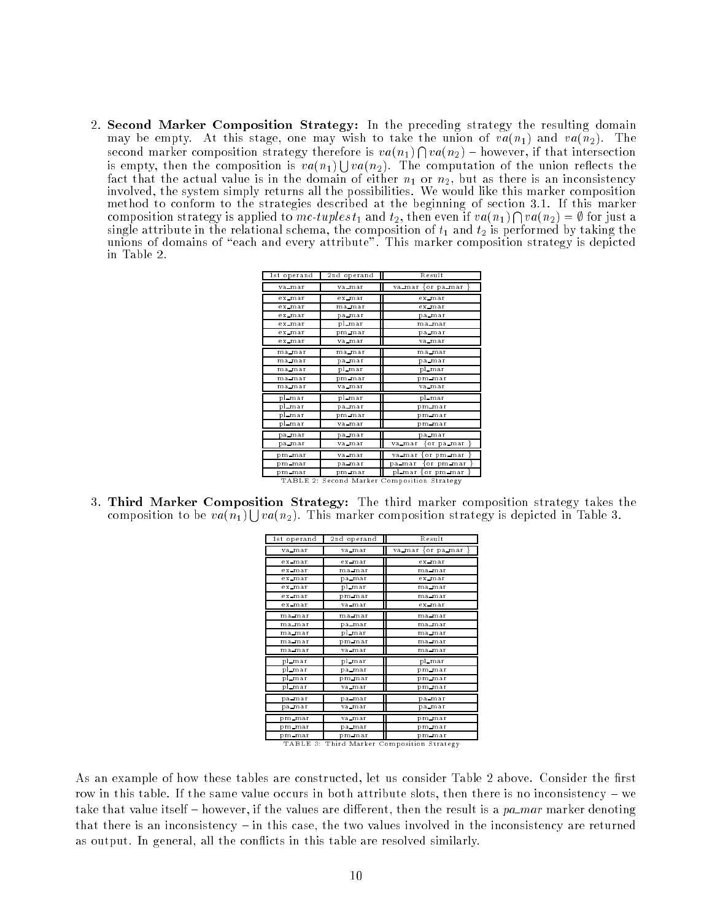2. Second Marker Composition Strategy: In the preceding strategy the resulting domain may be empty. At this stage, one may wish to take the union of  $va(n_1)$  and  $va(n_2)$ . The second marker composition strategy therefore is  $va(n_1) \bigcap va(n_2)$  – however, if that intersection is empty, then the composition is  $va(n_1) \cup va(n_2)$ . The computation of the union reflects the fact that the actual value is in the domain of either  $n_1$  or  $n_2$ , but as there is an inconsistency involved, the system simply returns all the possibilities. We would like this marker composition method to conform to the strategies described at the beginning of section 3.1. If this marker composition strategy is applied to mc-tuples  $t_1$  and  $t_2$ , then even if  $va(n_1) \bigcap va(n_2) = \emptyset$  for just a single attribute in the relational schema, the composition of  $t_1$  and  $t_2$  is performed by taking the unions of domains of \each and every attribute". This marker composition strategy is depicted in Table 2.

| 1st operand | 2nd operand | Result                             |  |
|-------------|-------------|------------------------------------|--|
| va_mar      | va mar      | va mar ∤or pa mar                  |  |
| ex mar      | ex_mar      | ex mar                             |  |
| ex_mar      | ma_mar      | ex_mar                             |  |
| ex_mar      | pa_mar      | pa_mar                             |  |
| ex mar      | pl_mar      | ma_mar                             |  |
| ex_mar      | pm mar      | pa_mar                             |  |
| ex_mar      | va mar      | va_mar                             |  |
| ma mar      | ma mar      | ma_mar                             |  |
| ma mar      | pa_mar      | pa_mar                             |  |
| ma_mar      | pl_mar      | pl_mar                             |  |
| ma_mar      | pm_mar      | pm_mar                             |  |
| ma mar      | va mar      | va mar                             |  |
| pl_mar      | pl_mar      | pl_mar                             |  |
| pl_mar      | pa_mar      | pm mar                             |  |
| pl_mar      | pm_mar      | pm_mar                             |  |
| pl_mar      | va mar      | pm_mar                             |  |
| pa_mar      | pa_mar      | pa_mar                             |  |
| pa mar      | va mar      | va_mar<br>or pa mar                |  |
| pm mar      | va_mar      | or pm mar<br>va_mar                |  |
| pm mar      | pa_mar      | pa mar<br>or pm mar                |  |
| pm mar      | pm mar      | pl_mar<br>or pm mar                |  |
| TABLE 2:    |             | Second Marker Composition Strategy |  |

3. Third Marker Composition Strategy: The third marker composition strategy takes the composition to be  $va(n_1) \cup va(n_2)$ . This marker composition strategy is depicted in Table 3.

| 1st operand                     | 2nd operand     | Result                                               |
|---------------------------------|-----------------|------------------------------------------------------|
| va_mar                          | va mar          | va_mar ∤or pa_mar                                    |
| ex_mar                          | ex_mar          | ex_mar                                               |
| ex_mar                          | ma_mar          | ma_mar                                               |
| ex_mar                          | pa mar          | e x_m ar                                             |
| ex_mar                          | pl_mar          | ma_mar                                               |
| ex mar                          | pm mar          | ma_mar                                               |
| ex_mar                          | va mar          | ex_mar                                               |
| ma_mar                          | ma mar          | ma_mar                                               |
| ma_mar                          | pa_mar          | ma_mar                                               |
| ma_mar                          | pl_mar          | ma_mar                                               |
| ma_mar                          | pm mar          | ma_mar                                               |
| ma_mar                          | va_mar          | ma_mar                                               |
| pl_mar                          | pl_mar          | pl_mar                                               |
| pl_mar                          | pa_mar          | pm_mar                                               |
| pl_mar                          | pm mar          | pm mar                                               |
| pl_mar                          | va_mar          | pm mar                                               |
| pa_mar                          | pa mar          | pa_mar                                               |
| pa mar                          | va mar          | pa_mar                                               |
| pm_mar                          | va mar          | pm_mar                                               |
| pm_mar                          | pa mar          | pm mar                                               |
| pm_mar<br>$\pi$ , $\pi$ , $\pi$ | pm mar<br>$\pi$ | pm mar<br>$\overline{\phantom{a}}$<br>$\overline{a}$ |

TABLE 3: Third Marker Composition Strategy

As an example of how these tables are constructed, let us consider Table 2 above. Consider the first row in this table. If the same value occurs in both attribute slots, then there is no inconsistency  $-\text{ we}$ take that value itself  ${\rm -}$  however, if the values are different, then the result is a pa mar marker denoting that there is an inconsistency  $-$  in this case, the two values involved in the inconsistency are returned as output. In general, all the con
icts in this table are resolved similarly.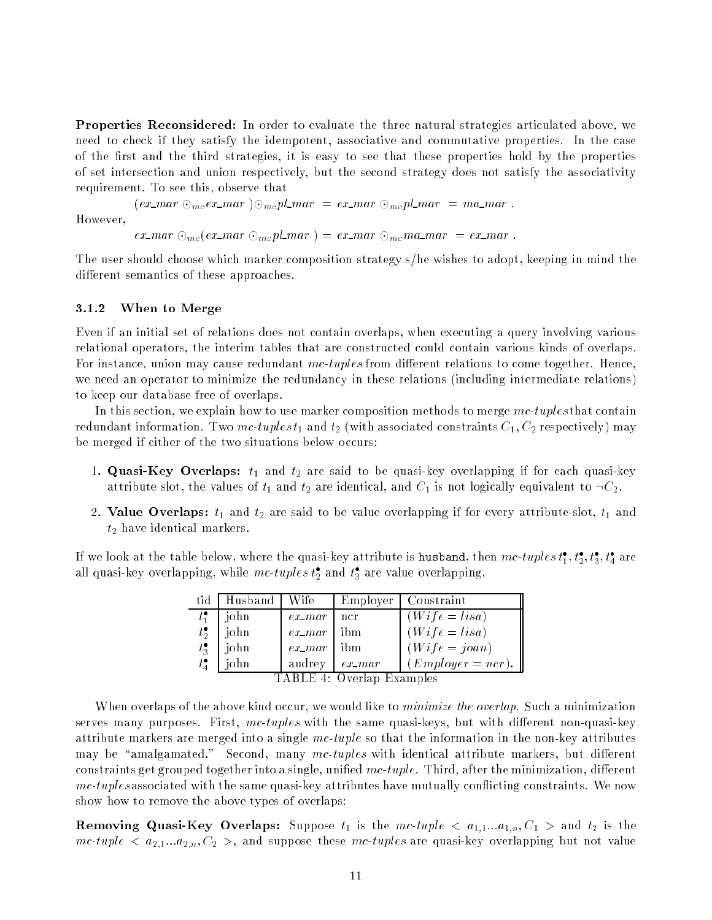Properties Reconsidered: In order to evaluate the three natural strategies articulated above, we need to check if they satisfy the idempotent, associative and commutative properties. In the case of the first and the third strategies, it is easy to see that these properties hold by the properties of set intersection and union respectively, but the second strategy does not satisfy the associativity requirement. To see this, observe that

 $(ex\_mar \odot_{mc} ex\_mar) \odot_{mc} pl\_mar = ex\_mar \odot_{mc} pl\_mar = ma\_mar$ .

However,

 $ex\_mar \odot_{mc}(ex\_mar \odot_{mc}pl\_mar) = ex\_mar \odot_{mc}ma\_mar = ex\_mar$ .

The user should choose which marker composition strategy s/he wishes to adopt, keeping in mind the different semantics of these approaches.

#### 3.1.2When to Merge

Even if an initial set of relations does not contain overlaps, when executing a query involving various relational operators, the interim tables that are constructed could contain various kinds of overlaps. For instance, union may cause redundant mc-tuples from different relations to come together. Hence, we need an operator to minimize the redundancy in these relations (including intermediate relations) to keep our database free of overlaps.

In this section, we explain how to use marker composition methods to merge  $mc$ -tuples that contain redundant information. Two mc-tuples  $t_1$  and  $t_2$  (with associated constraints  $C_1, C_2$  respectively) may be merged if either of the two situations below occurs:

- 1. Quasi-Key Overlaps:  $t_1$  and  $t_2$  are said to be quasi-key overlapping if for each quasi-key attribute slot, the values of  $t_1$  and  $t_2$  are identical, and  $C_1$  is not logically equivalent to  $\neg C_2$ .
- 2. Value Overlaps:  $t_1$  and  $t_2$  are said to be value overlapping if for every attribute-slot,  $t_1$  and  $t_2$  have identical markers.

If we look at the table below, where the quasi-key attribute is husband, then  $mc\text{-}tuples$   $t_1, t_2, t_3, t_4$  are all quasi-key overlapping, while  $mc\text{-}tuples$   $t_2$  and  $t_3$  are value overlapping.

| tid                       | Husband | Wife      | Employer  | Constraint          |  |
|---------------------------|---------|-----------|-----------|---------------------|--|
| $t_{1}^{\bullet}$         | john    | $ex\_mar$ | ncr       | $(Wife = lisa)$     |  |
| $t_2^{\bullet}$           | john    | $ex\_mar$ | ibm       | $(Wife = lisa)$     |  |
| $t_3^{\bullet}$           | john    | $ex\_mar$ | ibm       | $(Wife = joan)$     |  |
| $t_4^{\bullet}$           | john    | audrey    | $ex\_mar$ | $(Emplayer = ncr).$ |  |
| TABLE 4: Overlap Examples |         |           |           |                     |  |

When overlaps of the above kind occur, we would like to *minimize the overlap*. Such a minimization serves many purposes. First,  $mc\text{-}tuples$  with the same quasi-keys, but with different non-quasi-key attribute markers are merged into a single  $mc\text{-}tuple$  so that the information in the non-key attributes may be "amalgamated." Second, many  $mc\text{-}tuples$  with identical attribute markers, but different constraints get grouped together into a single, unified  $mc\text{-}tuple$ . Third, after the minimization, different mc-tuples associated with the same quasi-key attributes have mutually conflicting constraints. We now show how to remove the above types of overlaps:

Removing Quasi-Key Overlaps: Suppose t1 is the mc-tuple <sup>&</sup>lt; a1;1:::a1;n; C1 <sup>&</sup>gt; and t2 is the  $mc\text{-}tuple < a_{2,1}...a_{2,n}, C_2 >$ , and suppose these  $mc\text{-}tuples$  are quasi-key overlapping but not value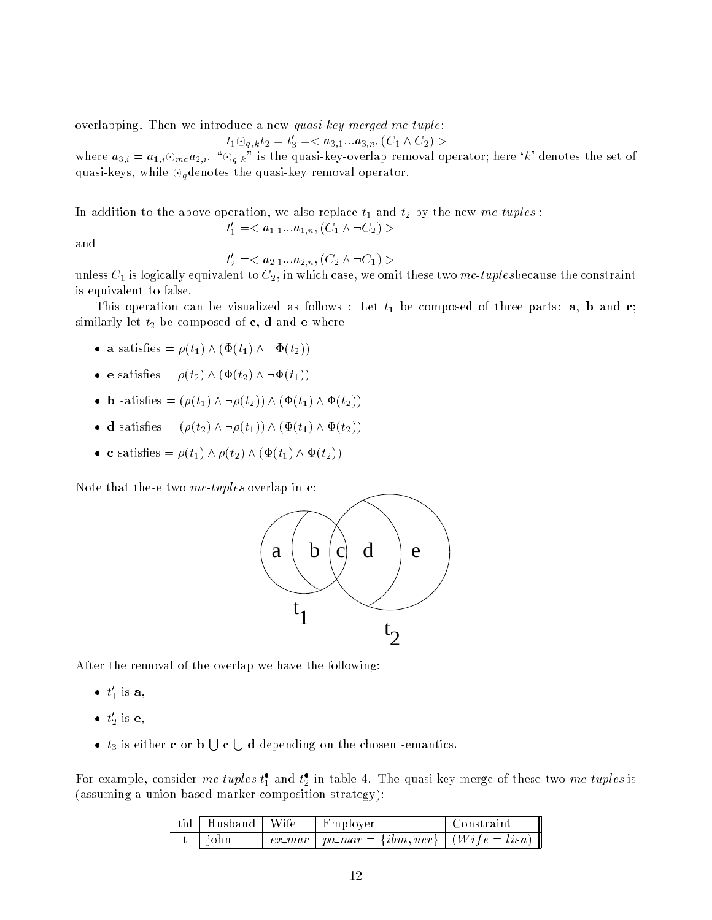overlapping. Then we introduce a new quasi-key-merged mc-tuple:

 $t_1$ 

$$
O_{q,k}t_2 = t'_3 = \langle a_{3,1}...a_{3,n}, (C_1 \wedge C_2) \rangle
$$

where  $a_{3,i} = a_{1,i} \odot_{mc} a_{2,i}$ . " $\odot_{q,k}$ " is the quasi-key-overlap removal operator; here 'k' denotes the set of quasi-keys, while  $\odot_q$  denotes the quasi-key removal operator.

In addition to the above operation, we also replace  $t_1$  and  $t_2$  by the new mc-tuples:  $u_1 = 0, u_{1,1} \ldots u_{1,n}$ , ( $u_1 \wedge \neg u_2$ ) >

and

$$
t_2' = \langle a_{2,1} \dots a_{2,n}, (C_2 \land \neg C_1) \rangle
$$

unless  $C_1$  is logically equivalent to  $C_2$ , in which case, we omit these two mc-tuplesbecause the constraint is equivalent to false.

This operation can be visualized as follows : Let  $t_1$  be composed of three parts: **a**, **b** and **c**; similarly let  $t_2$  be composed of **c**, **d** and **e** where

- a satisfies the contract of  $\mathbb{P}\left(\mathbb{P} \mid \mathbb{P} \right)$  of  $\mathbb{P} \left(\mathbb{P} \mid \mathbb{P} \right)$
- e satisfies  $\mathbf{r} \setminus \mathbf{r}$  (the  $\mathbf{r} \setminus \mathbf{r}$ )  $\mathbf{r} \setminus \mathbf{r}$
- be satisfactory of  $\{f(t+1), f(t+1), f(t+1), f(t+1), f(t+1), f(t+1), f(t+1), f(t+1)\}$
- de satisfaction of  $\{f: t \geq 1, t \leq r-1\}$  ,  $\{f: t \geq 1, t \leq r-1\}$  ,  $\{f: t \geq 1, t \leq r-1\}$
- $\mathbf{r}$  satisfies the contract of  $\mathbf{r}$  (the contract of  $\mathbf{r}$  of  $\mathbf{r}$ )  $\mathbf{r}$  (the contract of  $\mathbf{r}$ )

Note that these two mc-tuples overlap in  $c$ :



After the removal of the overlap we have the following:

- $\bullet$   $\iota_1$  is a,
- $\bullet$   $\iota_2$  is e,
- $t_3$  is either **c** or **b**  $\bigcup$  **c**  $\bigcup$  **d** depending on the chosen semantics.

For example, consider *mc-tuples*  $\iota_1^*$  and  $\iota_2^*$  in table 4. The quasi-key-merge of these two *mc-tuples* is (assuming a union based marker composition strategy):

| tid   Husband   Wife | $\perp$ Employer                                       | l Constraint |
|----------------------|--------------------------------------------------------|--------------|
| t john t             | $ex\_mar$   $pa\_mar = \{ibm, ncr\}$   $(Wife = lisa)$ |              |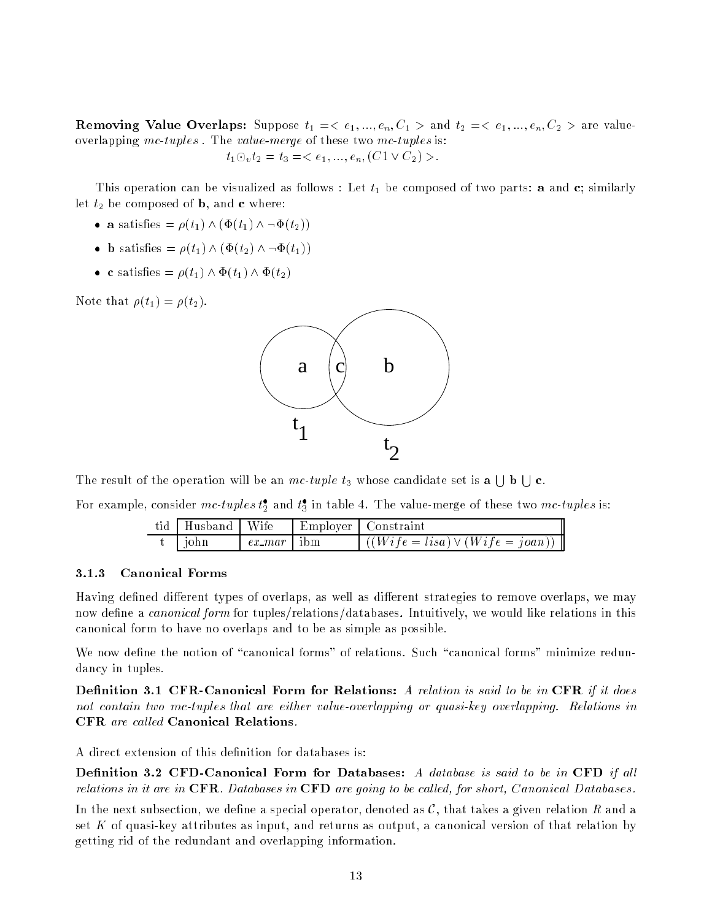Removing Value Overlaps: Suppose t1 =< e1; :::; en; C1 <sup>&</sup>gt; and t2 =< e1; :::; en; C2 <sup>&</sup>gt; are valueoverlapping mc-tuples. The value-merge of these two mc-tuples is:

$$
t_1 \odot_v t_2 = t_3 = \langle e_1, ..., e_n, (C1 \vee C_2) \rangle.
$$

This operation can be visualized as follows : Let  $t_1$  be composed of two parts: **a** and **c**; similarly let  $t_2$  be composed of **b**, and **c** where:

- $\mathcal{L}$  substitute  $\mathcal{L}$   $\{V_1, V_2, V_3, V_4, V_5, V_6\}$
- $\epsilon$  is because  $\epsilon$   $\epsilon$  (  $\epsilon$  )  $\epsilon$  (  $\epsilon$  (  $\epsilon$  )))
- $\epsilon$  satisfies  $\epsilon$  (t1)  $\epsilon$  (t1)  $\epsilon$  (t2)

Note that  $\rho(t_1) = \rho(t_2)$ .



The result of the operation will be an mc-tuple  $t_3$  whose candidate set is a  $\Box$  b  $\Box$  c.

For example, consider  $mc$ -tuples  $t_2$  and  $t_3$  in table 4. The value-merge of these two mc-tuples is:

| tid   Husband   Wife |               | Employer Constraint                                                                        |
|----------------------|---------------|--------------------------------------------------------------------------------------------|
| t liohn              | $ex\_mar$ ibm | $\left  \left( \left( Wife = lisa \right) \vee \left( Wife = joan \right) \right) \right $ |

#### 3.1.3Canonical Forms

Having defined different types of overlaps, as well as different strategies to remove overlaps, we may now define a *canonical form* for tuples/relations/databases. Intuitively, we would like relations in this canonical form to have no overlaps and to be as simple as possible.

We now define the notion of "canonical forms" of relations. Such "canonical forms" minimize redundancy in tuples.

de caalante als compared for Relations in Called For Relations. It is the company in Canonical Canonical Canon not contain two mc-tuples that are either value-overlapping or quasi-key overlapping. Relations in

A direct extension of this definition for databases is:

Denition 3.2 CFD-Canonical Form for Databases: A database is said to be in CFD if al l relations in it are in CFR. Databases in CFD are going to be called, for short, Canonical Databases.

In the next subsection, we define a special operator, denoted as  $\mathcal{C}$ , that takes a given relation  $R$  and a set K of quasi-key attributes as input, and returns as output, a canonical version of that relation by getting rid of the redundant and overlapping information.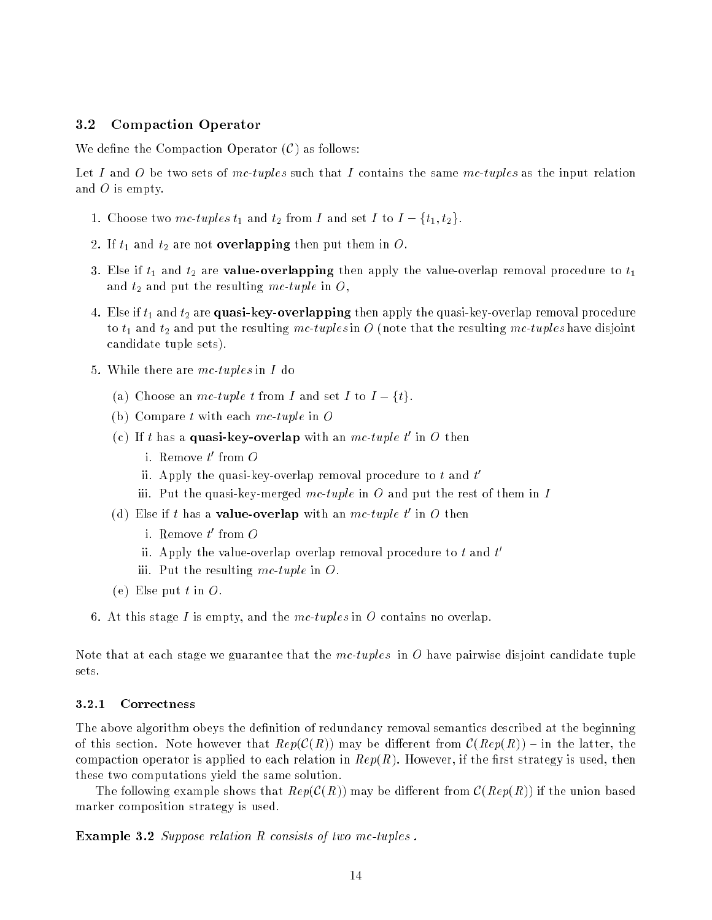#### 3.2Compaction Operator

We define the Compaction Operator  $(C)$  as follows:

Let I and O be two sets of mc-tuples such that I contains the same mc-tuples as the input relation and  $O$  is empty.

- 1. Choose two mc-tuples  $t_1$  and  $t_2$  from I and set I to  $I \{t_1, t_2\}.$
- 2. If  $t_1$  and  $t_2$  are not **overlapping** then put them in  $O$ .
- 3. Else if  $t_1$  and  $t_2$  are **value-overlapping** then apply the value-overlap removal procedure to  $t_1$ and  $t_2$  and put the resulting mc-tuple in O,
- 4. Else if  $t_1$  and  $t_2$  are quasi-key-overlapping then apply the quasi-key-overlap removal procedure to  $t_1$  and  $t_2$  and put the resulting mc-tuples in O (note that the resulting mc-tuples have disjoint candidate tuple sets).
- 5. While there are  $mc$ -tuples in I do
	- (a) Choose an mc-tuple t from I and set I to  $I \{t\}$ .
	- (b) Compare t with each  $mc$ -tuple in O
	- (c) if t has a **quasi-key-overlap** with an  $mc$ -tuple t<sup>o</sup> in O then
		- 1. Remove  $\iota$  -from  $\iota$
		- $\scriptstyle\rm II.$  Apply the quasi-key-overlap removal procedure to  $\scriptstyle t$  and  $\scriptstyle t$
		- iii. Put the quasi-key-merged mc-tuple in O and put the rest of them in I
	- (d) Else if t has a **value-overlap** with an *mc-tuple t* in  $O$  then
		- 1. Remove  $\iota$  -from  $\iota$
		- $\scriptstyle\rm II.$  Apply the value-overlap overlap removal procedure to  $\scriptstyle t$  and  $\scriptstyle t$
		- iii. Put the resulting mc-tuple in  $\ddot{o}$ .
	- (e) Else put  $t$  in  $O$ .
- 6. At this stage I is empty, and the  $mc\text{-}tuples$  in O contains no overlap.

Note that at each stage we guarantee that the  $mc\text{-}tuples$  in O have pairwise disjoint candidate tuple sets.

#### 3.2.1Correctness

The above algorithm obeys the definition of redundancy removal semantics described at the beginning of this section. Note however that  $Rep(\mathcal{C}(R))$  may be different from  $\mathcal{C}(Rep(R))$  – in the latter, the compaction operator is applied to each relation in  $Rep(R)$ . However, if the first strategy is used, then these two computations yield the same solution.

The following example shows that  $Rep(C(R))$  may be different from  $C(Rep(R))$  if the union based marker composition strategy is used.

Example 3.2 Suppose relation R consists of two mc-tuples .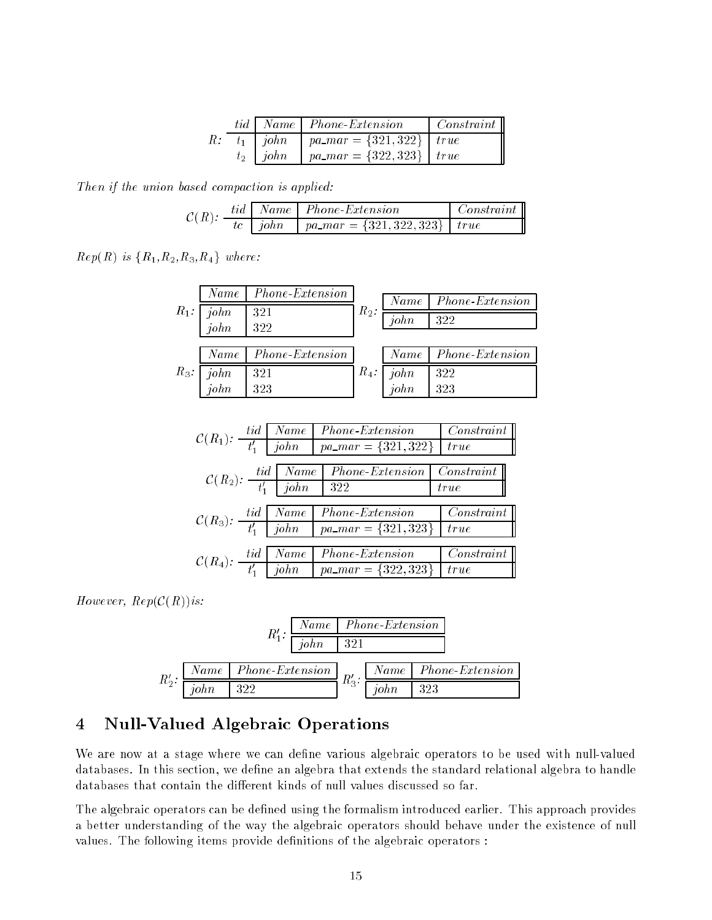|  |                    | tid   Name   Phone-Extension          | $\vert$ Constraint $\vert$ |
|--|--------------------|---------------------------------------|----------------------------|
|  | $R: t_1 \mid john$ | $\mid$ pa_mar = {321,322} $\mid$ true |                            |
|  | $t_2$   john       | pa_mar = {322,323}   true             |                            |

Then if the union based compaction is applied:

| $\mathcal{C}(R)$ : |  | tid   Name   Phone-Extension                       | $\vert$ Constraint $\vert$ |
|--------------------|--|----------------------------------------------------|----------------------------|
|                    |  | <i>tc</i>   john   pa_mar = {321, 322, 323}   true |                            |

 $Rep(R)$  is  ${R_1, R_2, R_3, R_4}$  where:

|         | Name             | <i>Phone-Extension</i> |         | Name      | <i>Phone-Extension</i> |
|---------|------------------|------------------------|---------|-----------|------------------------|
| $R_1$ : | $john$<br>$john$ | 321<br>322             | $R_2$ : | john      | 322                    |
|         |                  |                        |         |           |                        |
|         | Name             | Phone-Extension        |         | Name      | <i>Phone-Extension</i> |
| $R_3$ : | $john$<br>$john$ | 321                    | $R_4$ : | john      | 322                    |
|         |                  | 323                    |         | $\dot{p}$ | 323                    |

$$
\mathcal{C}(R_1): \begin{array}{c|c|c} tid & Name & Phone-Ex tension & Constant \\ \hline t'_1 & John & pa\_mar = \{321, 322\} & true \end{array}
$$
\n
$$
\mathcal{C}(R_2): \begin{array}{c|c|c} tid & Name & Phone-Ex tension & Constant \\ \hline t'_1 & John & 322 & true \end{array}
$$
\n
$$
\mathcal{C}(R_3): \begin{array}{c|c|c} tid & Name & Phone-Ex tension & Constant \\ \hline t'_1 & John & pa\_mar = \{321, 323\} & true \end{array}
$$
\n
$$
\mathcal{C}(R_4): \begin{array}{c|c|c} tid & Name & Phone-Ex tension & Constant \\ \hline t'_1 & John & pa\_mar = \{322, 323\} & true \end{array}
$$

However,  $Rep(C(R))$  is:

|          |          |  | Name   Phone-Extension |     |                                                                                                           |
|----------|----------|--|------------------------|-----|-----------------------------------------------------------------------------------------------------------|
|          | $R_1'$ : |  |                        |     |                                                                                                           |
|          |          |  |                        |     | $\frac{Name \mid Phone\text{-}Extension}{R_3} R_4'$ . $\frac{Name \mid Phone\text{-}Extension}{R_4' R_5}$ |
| $R'_2$ : |          |  |                        | 323 |                                                                                                           |

# 4 Null-Valued Algebraic Operations

We are now at a stage where we can define various algebraic operators to be used with null-valued databases. In this section, we define an algebra that extends the standard relational algebra to handle databases that contain the different kinds of null values discussed so far.

The algebraic operators can be defined using the formalism introduced earlier. This approach provides a better understanding of the way the algebraic operators should behave under the existence of null values. The following items provide definitions of the algebraic operators :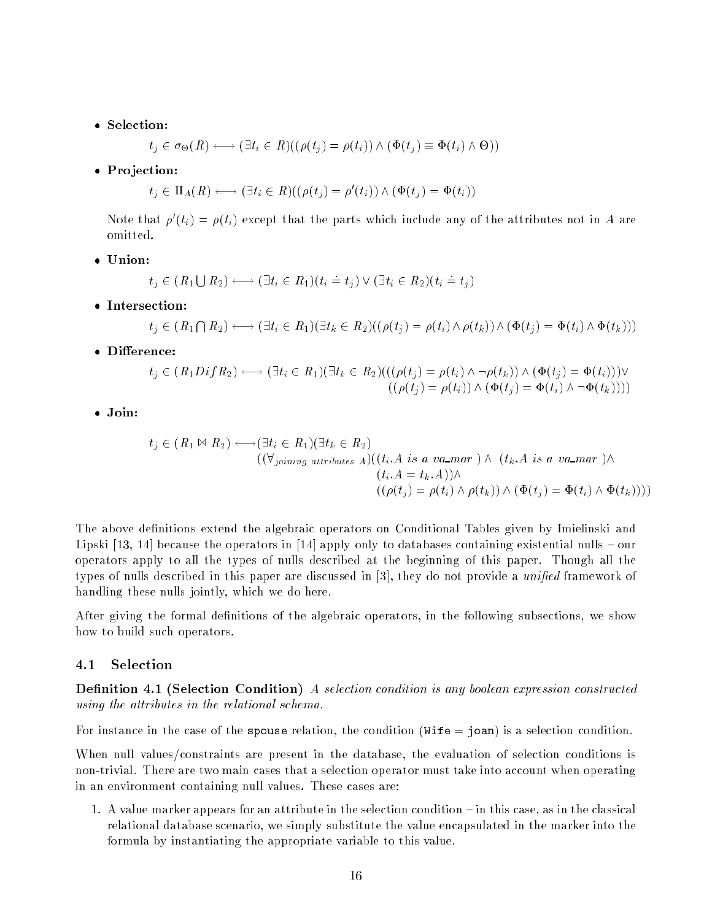$$
t_j \in \sigma_{\Theta}(R) \longleftrightarrow (\exists t_i \in R)((\rho(t_j) = \rho(t_i)) \land (\Phi(t_j) \equiv \Phi(t_i) \land \Theta))
$$

Pro jection:

$$
t_j \in \Pi_A(R) \longleftrightarrow (\exists t_i \in R)((\rho(t_j) = \rho'(t_i)) \wedge (\Phi(t_j) = \Phi(t_i))
$$

Note that  $\rho \left( t_i \right) = \rho \left( t_i \right)$  except that the parts which include any of the attributes not in A are omitted.

$$
t_j \in (R_1 \cup R_2) \longleftrightarrow (\exists t_i \in R_1)(t_i \doteq t_j) \vee (\exists t_i \in R_2)(t_i \doteq t_j)
$$

$$
t_j \in (R_1 \cap R_2) \longleftrightarrow (\exists t_i \in R_1)(\exists t_k \in R_2)((\rho(t_j) = \rho(t_i) \land \rho(t_k)) \land (\Phi(t_j) = \Phi(t_i) \land \Phi(t_k)))
$$

$$
t_j \in (R_1 D i f R_2) \longleftrightarrow (\exists t_i \in R_1)(\exists t_k \in R_2) (((\rho(t_j) = \rho(t_i) \land \neg \rho(t_k)) \land (\Phi(t_j) = \Phi(t_i)))) \vee ((\rho(t_j) = \rho(t_i)) \land (\Phi(t_j) = \Phi(t_i) \land \neg \Phi(t_k))))
$$

. . . . . . .

$$
t_j \in (R_1 \bowtie R_2) \longleftrightarrow (\exists t_i \in R_1)(\exists t_k \in R_2)
$$
  

$$
((\forall_{joining \ attributes \ A})((t_i.A \ is \ a \ va\_mar) \land (t_k.A \ is \ a \ va\_mar) \land (t_k.A \ is \ a \ va\_mar) \land (t_i.A = t_k.A)) \land ((\rho(t_j) = \rho(t_i) \land \rho(t_k)) \land (\Phi(t_j) = \Phi(t_i) \land \Phi(t_k))))
$$

The above definitions extend the algebraic operators on Conditional Tables given by Imielinski and Lipski  $[13, 14]$  because the operators in  $[14]$  apply only to databases containing existential nulls  $-$  our operators apply to all the types of nulls described at the beginning of this paper. Though all the types of nulls described in this paper are discussed in  $[3]$ , they do not provide a unified framework of handling these nulls jointly, which we do here.

After giving the formal definitions of the algebraic operators, in the following subsections, we show how to build such operators.

#### 4.1Selection

Denition 4.1 (Selection Condition) A selection condition is any boolean expression constructed using the attributes in the relational schema.

For instance in the case of the spouse relation, the condition (Wife = joan) is a selection condition.

When null values/constraints are present in the database, the evaluation of selection conditions is non-trivial. There are two main cases that a selection operator must take into account when operating in an environment containing null values. These cases are:

1. A value marker appears for an attribute in the selection condition  ${\rm -}$  in this case, as in the classical relational database scenario, we simply substitute the value encapsulated in the marker into the formula by instantiating the appropriate variable to this value.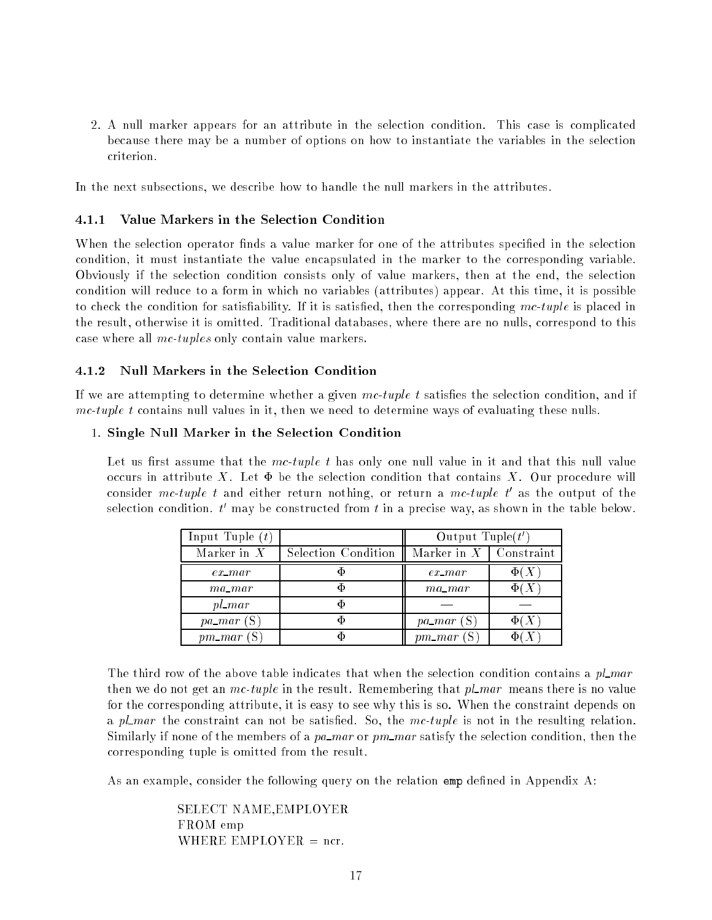2. A null marker appears for an attribute in the selection condition. This case is complicated because there may be a number of options on how to instantiate the variables in the selection criterion.

In the next subsections, we describe how to handle the null markers in the attributes.

#### 4.1.1Value Markers in the Selection Condition

When the selection operator finds a value marker for one of the attributes specified in the selection condition, it must instantiate the value encapsulated in the marker to the corresponding variable. Obviously if the selection condition consists only of value markers, then at the end, the selection condition will reduce to a form in which no variables (attributes) appear. At this time, it is possible to check the condition for satisfiability. If it is satisfied, then the corresponding  $mc\text{-}tuple$  is placed in the result, otherwise it is omitted. Traditional databases, where there are no nulls, correspond to this case where all mc-tuples only contain value markers.

#### 4.1.2Null Markers in the Selection Condition

If we are attempting to determine whether a given  $mc\text{-}tuple$  t satisfies the selection condition, and if  $mc-tuple t$  contains null values in it, then we need to determine ways of evaluating these nulls.

### 1. Single Null Marker in the Selection Condition

Let us first assume that the mc-tuple t has only one null value in it and that this null value occurs in attribute X. Let  $\Phi$  be the selection condition that contains X. Our procedure will consider  $mc$ -tuple t and either return nothing, or return a  $mc$ -tuple t as the output of the selection condition.  $t$  -may be constructed from  $t$  in a precise way, as shown in the table below.

| Input Tuple $(t)$ |                     | Output Tuple $(t')$           |  |
|-------------------|---------------------|-------------------------------|--|
| Marker in $X$     | Selection Condition | Marker in $X \mid$ Constraint |  |
| $ex\_mar$         |                     | $ex\_mar$                     |  |
| $ma\_mar$         |                     | $ma\_mar$                     |  |
| $pl\_mar$         |                     |                               |  |
| $pa\_mar(S)$      |                     | $pa\_mar$ (S                  |  |
| $pm\_mar$ (       |                     | $pm\_mar$ (S                  |  |

The third row of the above table indicates that when the selection condition contains a  $pl\_mar$ then we do not get an  $mc\text{-}tuple$  in the result. Remembering that  $pl\text{-}mar$  means there is no value for the corresponding attribute, it is easy to see why this is so. When the constraint depends on a pl mar the constraint can not be satisfied. So, the mc-tuple is not in the resulting relation. Similarly if none of the members of a pa mar or  $pm$  mar satisfy the selection condition, then the corresponding tuple is omitted from the result.

As an example, consider the following query on the relation emp defined in Appendix A:

SELECT NAME,EMPLOYER FROM emp WHERE EMPLOYER  $=$  ncr.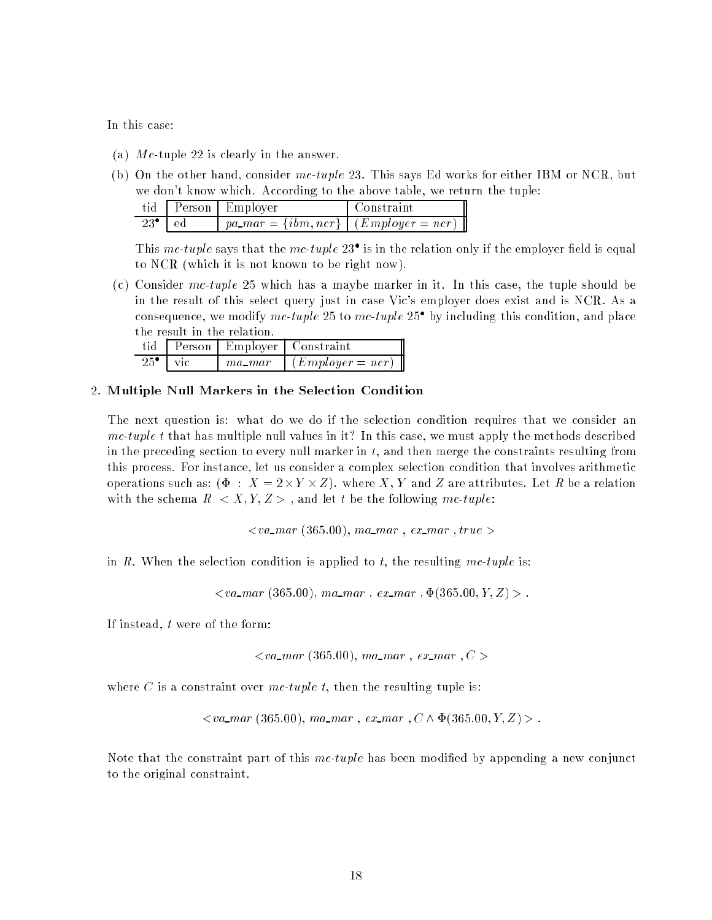In this case:

- (a)  $Mc$ -tuple 22 is clearly in the answer.
- (b) On the other hand, consider mc-tuple 23. This says Ed works for either IBM or NCR, but we don't know which. According to the above table, we return the tuple:

|                     | tid Person Employer                                       | I Constraint |
|---------------------|-----------------------------------------------------------|--------------|
| $23^{\bullet}$   ed | $\mid$ pa_mar = {ibm, ncr} $\mid$ (Employer = ncr) $\mid$ |              |

I ms *mc-tuple* says that the *mc-tuple* 23 is in the relation only if the employer field is equal to NCR (which it is not known to be right now).

(c) Consider mc-tuple 25 which has a maybe marker in it. In this case, the tuple should be in the result of this select query just in case Vic's employer does exist and is NCR. As a consequence, we modify mc-tuple 25 to mc-tuple 25 s by including this condition, and place the result in the relation.

| tid                              |        | Person Employer Constraint |
|----------------------------------|--------|----------------------------|
| $25^{\circ}$ $\sqrt{\text{vic}}$ | ma mar | $\int (Emplayer = ncr)$    |

### 2. Multiple Null Markers in the Selection Condition

The next question is: what do we do if the selection condition requires that we consider an mc-tuple t that has multiple null values in it? In this case, we must apply the methods described in the preceding section to every null marker in  $t$ , and then merge the constraints resulting from this process. For instance, let us consider a complex selection condition that involves arithmetic representes such as: ( = x + = x + = x + = y + where  $z$  = y = xeed = xee attributes. Let  $\mathcal{L}$  be a relation with the schema  $R < X, Y, Z >$ , and let t be the following mc-tuple:

 $\langle v a_m r (365.00), ma_m r, ex_m r, true \rangle$ 

in R. When the selection condition is applied to t, the resulting mc-tuple is:

 $\langle va\_mar (365.00), ma\_mar, ex\_mar, \Phi(365.00, Y, Z) \rangle$ .

If instead, t were of the form:

$$
< v a_{\text{max}} (365.00), \text{ma}_{\text{max}}, \text{ex}_{\text{max}}, C >
$$

where C is a constraint over mc-tuple t, then the resulting tuple is:

 $\langle va\_mar (365.00), ma\_mar, ex\_mar, C \wedge \Phi(365.00, Y, Z) \rangle$ .

Note that the constraint part of this  $mc\text{-}tuple$  has been modified by appending a new conjunct to the original constraint.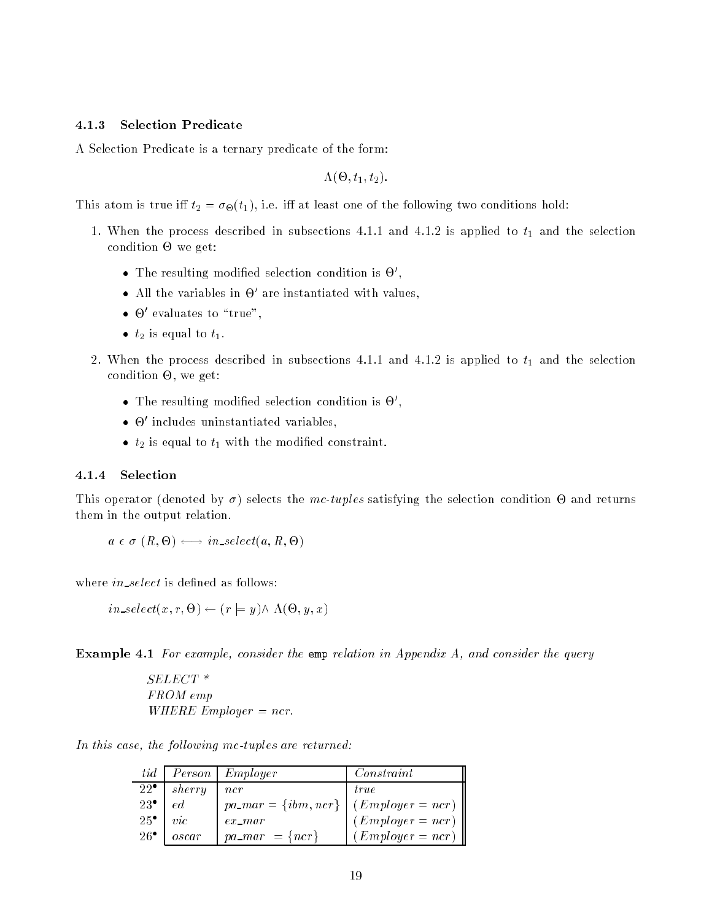#### 4.1.3Selection Predicate

A Selection Predicate is a ternary predicate of the form:

. . . . . . . . . . . . . . . . . .

 $T$  atom is true intervals to the following two conditions  $\Omega$  is the following two conditions hold:

- 1. When the process described in subsections 4.1.1 and 4.1.2 is applied to  $t_1$  and the selection condition of the condition of the condition of the condition of the condition of the condition of the condition of the condition of the condition of the condition of the condition of the condition of the condition of the c
	- $\bullet$  -refused modified selection condition is  $\Theta$  ,
	- $\bullet$  -All the variables in  $\circlearrowright$  are instantiated with values,
	- $\bullet$   $\bullet$  evaluates to "true",
	- t is equal to the time of the task of the task of the task of the task of the task of the task of the task of t
- 2. When the process described in subsections 4.1.1 and 4.1.2 is applied to  $t_1$  and the selection , we get: we get: we get: we get:  $\alpha$ 
	- $\bullet$  -refused modified selection condition is  $\Theta$  ,
	- $\bullet$   $\uplus$  includes uninstantiated variables,
	- the modification of the model that the model constraint the model of the model of the model of the model of the model of the model of the model of the model of the model of the model of the model of the model of the model

#### 4.1.4Selection

This operator (denoted by ) selects the mc-tuples satisfying the selection condition - and returns them in the output relation.

$$
a \in \sigma(R, \Theta) \longleftrightarrow in\_select(a, R, \Theta)
$$

where  $in\_select$  is defined as follows:

$$
in\_select(x, r, \Theta) \leftarrow (r \models y) \land \Lambda(\Theta, y, x)
$$

Example 4.1 For example, consider the emp relation in Appendix A, and consider the query

SELECT \* FROM emp WHERE Employer  $=ncr$ .

In this case, the following mc-tuples are returned:

|                |                | tid Person Employer      | Constant              |
|----------------|----------------|--------------------------|-----------------------|
| $22^{\bullet}$ | sherry         | ncr                      | <i>true</i>           |
| $23^{\circ}$   | ed             | $pa\_mar = \{ibm, ncr\}$ | $(Employer = ncr)$    |
| $25^{\circ}$   | $\mathit{vic}$ | $ex\_mar$                | $(Emplayer = nr)$     |
| $26^{\bullet}$ | oscar          | $pa\_mar = \{ncr\}$      | $(Em\nu loger = ncr)$ |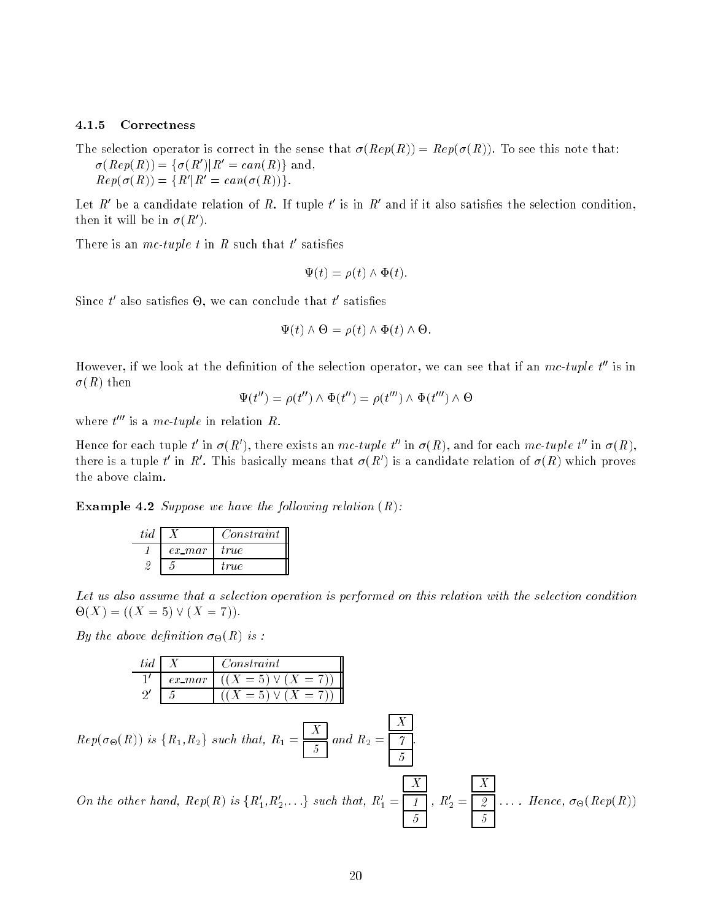#### 4.1.5Correctness

The selection operator is correct in the sense that  $\sigma(Rep(R)) = Rep(\sigma(R))$ . To see this note that:  $\sigma$ (*Rep*(*R*)) =  $\tau$   $\sigma$ (*R*) i*R* = *can*(*R*) $\tau$  and,  $\mathbb{R}e\mathbb{P}(\mathcal{O}(\mathbb{R})) = \mathbb{R}R(\mathbb{R}) = \mathbb{C}an(\mathcal{O}(\mathbb{R}))$ .

Let  $R$  be a candidate relation of  $R.$  If tuple  $\iota$  is in  $R$  and if it also satisfies the selection condition,  $\liminf$  it will be in  $\theta$  (Ref.

**There** is an *mc-tuple t* in  $R$  such that t satisfies

$$
\Psi(t) = \rho(t) \wedge \Phi(t).
$$

Since  $\iota$  also satisfies  $\Theta$ , we can conclude that  $\iota$  satisfies

$$
\Psi(t) \wedge \Theta = \rho(t) \wedge \Phi(t) \wedge \Theta.
$$

However, if we look at the definition of the selection operator, we can see that if an  $mc\text{-}tuple$  t'' is in  $\sigma(R)$  then

$$
\Psi(t'') = \rho(t'') \wedge \Phi(t'') = \rho(t''') \wedge \Phi(t''') \wedge \Theta
$$

where  $t = 18$  a mc-tuple in relation  $R$ .

Hence for each tuple to in  $\sigma(R)$ , there exists an mc-tuple to in  $\sigma(R)$ , and for each mc-tuple to in  $\sigma(R)$ , there is a tuple t in  $K$ . This basically means that  $\sigma(K)$  is a candidate relation of  $\sigma(R)$  which proves the above claim.

Example 4.2 Suppose we have the following relation (R):

| tid |           | Constant |
|-----|-----------|----------|
|     | $ex\_mar$ | tru e    |
|     |           | true.    |

Let us also assume that a selection operation is performed on this relation with the selection condition -(X) = ((X = 5) \_ (X = 7)).

 $B = \begin{bmatrix} 1 & 1 \\ 1 & 1 \end{bmatrix}$  is the above definition of  $B = \begin{bmatrix} 1 & 1 \\ 1 & 1 \end{bmatrix}$ 

| $X=5$ )<br>$=$<br>$ex$ mar |  |
|----------------------------|--|
|                            |  |
|                            |  |

 $Rep(\sigma_{\Theta}(R))$  is  $\{R_1, R_2\}$  such that,  $R_1 = \blacksquare$  $5 \pm 7$ 

On the other hand,  $\mathbf{Re}p(\mathbf{R})$  is  $\{\mathbf{R}_1,\mathbf{R}_2,\ldots\}$  such that,  $\mathbf{R}_1 =$ ,  $n_2 =$  $\mathbf{y} = \mathbf{y} + \mathbf{y}$ 

.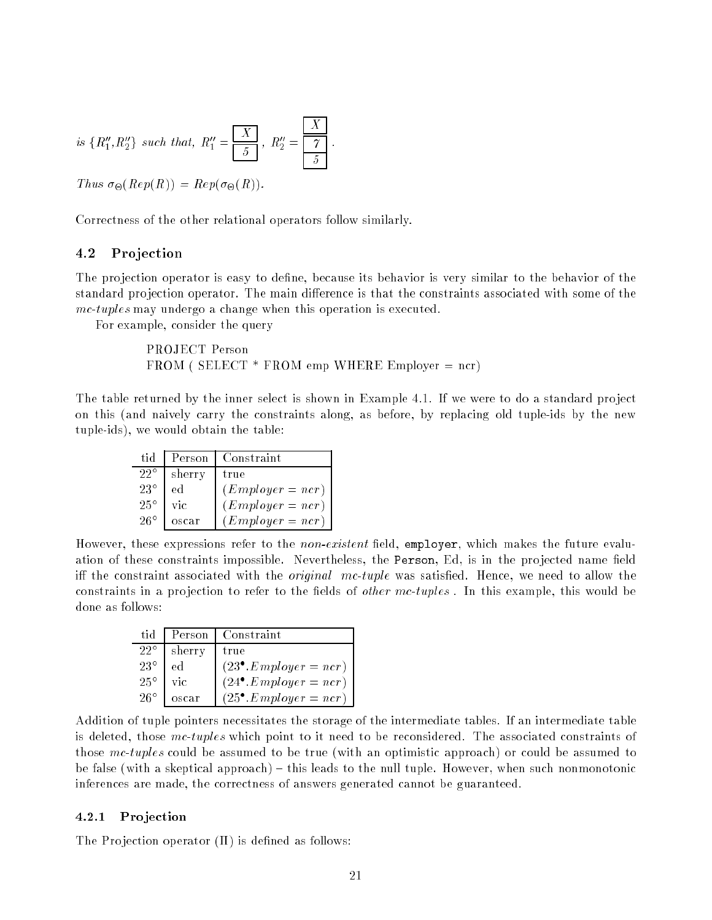is 
$$
\{R''_1, R''_2\}
$$
 such that,  $R''_1 = \frac{X}{5}$ ,  $R''_2 = \frac{X}{5}$ .

 $\mathcal{L}(X) = \mathcal{L}(X - Y)$ .  $\mathcal{L}(X - Y)$ .

Correctness of the other relational operators follow similarly.

#### 4.2**Projection**

The projection operator is easy to define, because its behavior is very similar to the behavior of the standard projection operator. The main difference is that the constraints associated with some of the mc-tuples may undergo a change when this operation is executed.

For example, consider the query

PROJECT Person  $FROM$  ( SELECT  $*$  FROM emp WHERE Employer = ncr)

The table returned by the inner select is shown in Example 4.1. If we were to do a standard project on this (and naively carry the constraints along, as before, by replacing old tuple-ids by the new tuple-ids), we would obtain the table:

| tid          | Person | Constraint            |
|--------------|--------|-----------------------|
| $22^{\circ}$ | sherry | true                  |
| $23^{\circ}$ | ed     | $(Emplayer = nr)$     |
| $25^{\circ}$ | vic    | $(Emplayer = ncr)$    |
| $26^\circ$   | oscar  | $(Em\nu loger = ncr)$ |

However, these expressions refer to the *non-existent* field, employer, which makes the future evaluation of these constraints impossible. Nevertheless, the Person, Ed, is in the projected name field iff the constraint associated with the *original mc-tuple* was satisfied. Hence, we need to allow the constraints in a projection to refer to the fields of *other mc-tuples*. In this example, this would be done as follows:

| tid          | Person | Constraint                      |
|--------------|--------|---------------------------------|
| $22^{\circ}$ | sherry | true                            |
| $23^{\circ}$ | ed     | $(23^{\bullet}.Emplayer = ncr)$ |
| $25^{\circ}$ | vic    | $(24^{\bullet}.Emplayer = ncr)$ |
| $26^\circ$   | oscar  | $(25^{\bullet}.Emplayer = ncr)$ |

Addition of tuple pointers necessitates the storage of the intermediate tables. If an intermediate table is deleted, those mc-tuples which point to it need to be reconsidered. The associated constraints of those mc-tuples could be assumed to be true (with an optimistic approach) or could be assumed to be false (with a skeptical approach)  $-$  this leads to the null tuple. However, when such nonmonotonic inferences are made, the correctness of answers generated cannot be guaranteed.

#### 4.2.1Projection

The Projection operator  $(\Pi)$  is defined as follows: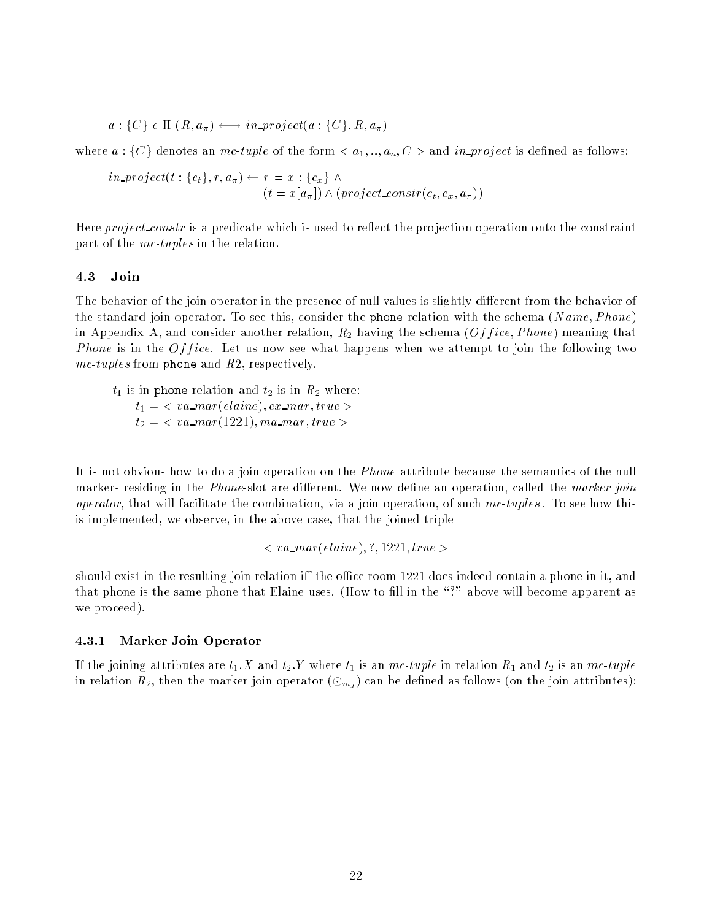$$
a: \{C\} \in \Pi \ (R, a_{\pi}) \longleftrightarrow in\text{-}project(a: \{C\}, R, a_{\pi})
$$

where  $a: \{C\}$  denotes an mc-tuple of the form  $\langle a_1, ..., a_n, C \rangle$  and in project is defined as follows:

$$
in\_project(t: \{c_t\}, r, a_{\pi}) \leftarrow r \models x: \{c_x\} \land (t = x[a_{\pi}]) \land (project\_constr(c_t, c_x, a_{\pi}))
$$

Here *project constr* is a predicate which is used to reflect the projection operation onto the constraint part of the mc-tuples in the relation.

#### 4.3Join

The behavior of the join operator in the presence of null values is slightly different from the behavior of the standard join operator. To see this, consider the phone relation with the schema  $(Name, Phone)$ in Appendix A, and consider another relation,  $R_2$  having the schema (Of fice, Phone) meaning that *Phone* is in the  $Office$ . Let us now see what happens when we attempt to join the following two  $mc-tuples$  from phone and  $R2$ , respectively.

 $t_1$  is in phone relation and  $t_2$  is in  $R_2$  where:  $t_1 = \langle va\_mar(elaine), ex\_mar, true \rangle$  $t_2 = \langle va\_mar(1221), ma\_mar, true \rangle$ 

It is not obvious how to do a join operation on the *Phone* attribute because the semantics of the null markers residing in the *Phone-slot* are different. We now define an operation, called the marker join *operator*, that will facilitate the combination, via a join operation, of such  $mc\text{-}tuples$ . To see how this is implemented, we observe, in the above case, that the joined triple

$$

$$

should exist in the resulting join relation iff the office room 1221 does indeed contain a phone in it, and that phone is the same phone that Elaine uses. (How to fill in the "?" above will become apparent as we proceed).

#### 4.3.1Marker Join Operator

If the joining attributes are  $t_1$ . X and  $t_2$ . Y where  $t_1$  is an mc-tuple in relation  $R_1$  and  $t_2$  is an mc-tuple in relation  $R_2$ , then the marker join operator  $(\odot_{mj})$  can be defined as follows (on the join attributes):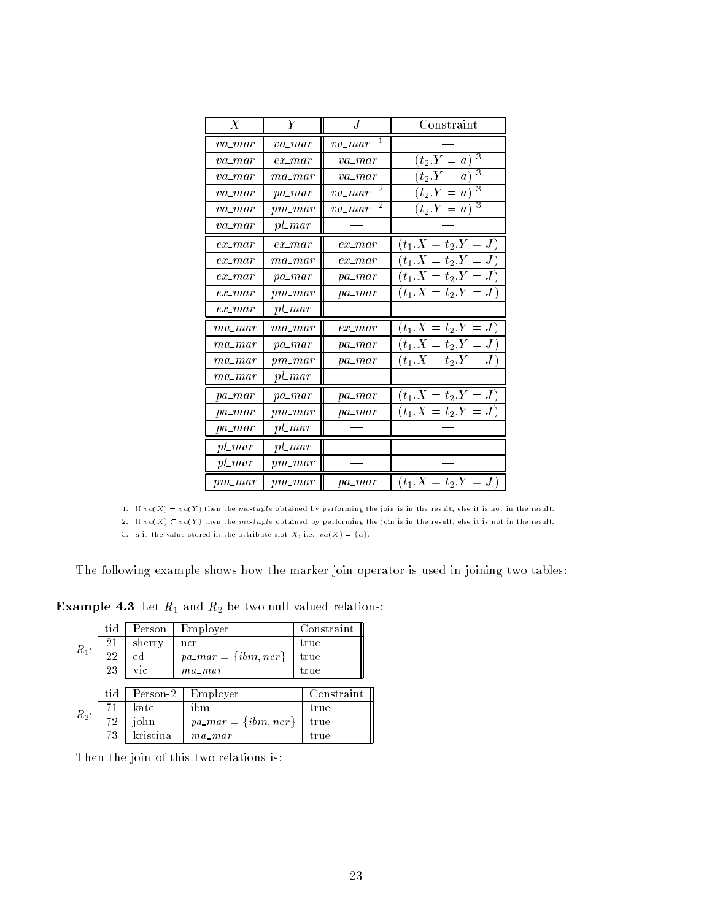| $\boldsymbol{X}$ | $\overline{Y}$  | .J                       | Constraint            |
|------------------|-----------------|--------------------------|-----------------------|
| $va$ <i>mar</i>  | $va$ <i>mar</i> | $va$ <sub>mar</sub>      |                       |
| $va$ <i>mar</i>  | $ex\_mar$       | $va$ <i>mar</i>          | 3<br>$(t_2.Y = a)$    |
| $va\_mar$        | $ma\_mar$       | $va$ <i>mar</i>          | 3<br>$(t_2.Y = a)$    |
| $va$ <i>mar</i>  | $pa\_mar$       | 2<br>$va$ <sub>mar</sub> | 3<br>$(t_2.Y = a)$    |
| $va\_mar$        | $pm\_mar$       | 2<br>$va$ <sub>mar</sub> | 3<br>$(t_2.Y = a)$    |
| $va$ <i>mar</i>  | $pl\_mar$       |                          |                       |
| $ex\_mar$        | $ex\_mar$       | $ex\_mar$                | $(t_1.X = t_2.Y = J)$ |
| $ex\_mar$        | $ma\_mar$       | $ex\_mar$                | $(t_1.X = t_2.Y = J)$ |
| $ex\_mar$        | $pa\_mar$       | $pa\_mar$                | $(t_1.X = t_2.Y = J)$ |
| $ex\_mar$        | $pm\_mar$       | $pa\_mar$                | $(t_1.X = t_2.Y = J)$ |
| $ex\_mar$        | $pl\_mar$       |                          |                       |
| $ma\_mar$        | $ma\_mar$       | $ex\_mar$                | $(t_1.X = t_2.Y = J)$ |
| $ma\_mar$        | $pa\_mar$       | $pa\_mar$                | $(t_1.X = t_2.Y = J)$ |
| $ma$ -mar        | $pm\_mar$       | $pa\_mar$                | $(t_1.X = t_2.Y = J)$ |
| $ma\_mar$        | $pl\_mar$       |                          |                       |
| $pa\_mar$        | $pa\_mar$       | $pa\_mar$                | $(t_1.X = t_2.Y = J)$ |
| $pa\_mar$        | $pm\_mar$       | $pa\_mar$                | $(t_1.X = t_2.Y = J)$ |
| $pa\_mar$        | $pl$ mar        |                          |                       |
| $pl\_mar$        | $pl\_mar$       |                          |                       |
| $pl\_mar$        | $pm\_mar$       |                          |                       |
| $pm\_mar$        | $pm\_mar$       | pa_mar                   | $(t_1.X = t_2.Y = J)$ |

1. If  $va(X) = va(Y)$  then the mc-tuple obtained by performing the join is in the result, else it is not in the result.

2. If  $va(X) \subset va(Y)$  then the mc-tuple obtained by performing the join is in the result, else it is not in the result.

3. a is the value stored in the attribute-slot  $X_+$  i.e.  $va(X) = \{a\}.$ 

The following example shows how the marker join operator is used in joining two tables:

 $\blacksquare$ 

|         | tid | Person   | Employer                | Constraint |  |
|---------|-----|----------|-------------------------|------------|--|
| $R_1$ : | 21  | sherry   | ncr                     | true       |  |
|         | 22  | ed       | $pa\_mar = \{ibm,ncr\}$ | true       |  |
|         | 23  | vic      | $ma$ $-m$ a r           | true       |  |
|         |     |          |                         |            |  |
|         | tid | Person-2 | Employer                | Constraint |  |
|         | 71  | kate     | ibm                     | true       |  |
| $R_2$ : | 72  | john     | $pa\_mar = \{ibm,ncr\}$ | true       |  |
|         | 73  | kristina | $ma\_mar$               | true       |  |

Then the join of this two relations is: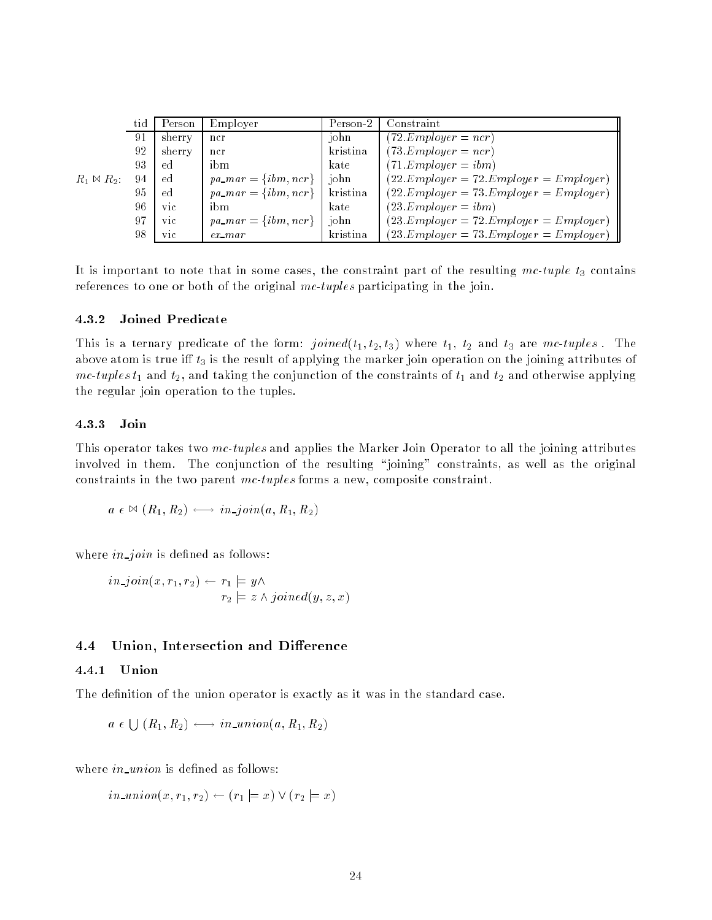|                     | tid | Person     | Employer                 | Person-2 | Constraint                                |
|---------------------|-----|------------|--------------------------|----------|-------------------------------------------|
|                     | 91  | sherry     | ncr                      | john     | $(72.Emplayer = ncr)$                     |
|                     | 92  | sherry     | ncr                      | kristina | $(73.Emplayer = ncr)$                     |
|                     | 93  | ed         | ibm                      | kate     | $(71.Emplayer = ibm)$                     |
| $R_1 \bowtie R_2$ : | 94  | ed         | $pa\_mar = \{ibm, ncr\}$ | john     | $(22.Emplayer = 72. Emplayer = Emplayer)$ |
|                     | 95  | ed         | $pa\_mar = \{ibm, ncr\}$ | kristina | $(22.Emplayer = 73. Emplayer = Emplayer)$ |
|                     | 96  | vic        | ibm                      | kate     | $(23.Emplayer = ibm)$                     |
|                     | 97  | vic        | $pa\_mar = \{ibm, ncr\}$ | john     | $(23.Emplayer = 72. Emplayer = Emplayer)$ |
|                     | 98  | <b>VIC</b> | $ex\_mar$                | kristina | $(23.Emplayer = 73. Emplayer = Emplayer)$ |

It is important to note that in some cases, the constraint part of the resulting mc-tuple  $t_3$  contains references to one or both of the original mc-tuples participating in the join.

#### 4.3.2Joined Predicate

This is a ternary predicate of the form:  $joined(t_1, t_2, t_3)$  where  $t_1, t_2$  and  $t_3$  are mc-tuples. The above atom is true iff  $t_3$  is the result of applying the marker join operation on the joining attributes of mc-tuples  $t_1$  and  $t_2$ , and taking the conjunction of the constraints of  $t_1$  and  $t_2$  and otherwise applying the regular join operation to the tuples.

#### 4.3.3Join

This operator takes two mc-tuples and applies the Marker Join Operator to all the joining attributes involved in them. The conjunction of the resulting "joining" constraints, as well as the original constraints in the two parent mc-tuples forms a new, composite constraint.

$$
a \in \mathbb{M} (R_1, R_2) \longleftrightarrow in\_join(a, R_1, R_2)
$$

where  $in\text{-}join$  is defined as follows:

$$
in\_join(x, r_1, r_2) \leftarrow r_1 \models y \land
$$
  

$$
r_2 \models z \land joined(y, z, x)
$$

#### 4.4Union, Intersection and Difference

#### 4.4.1Union

The definition of the union operator is exactly as it was in the standard case.

$$
a \in \bigcup (R_1, R_2) \longleftrightarrow in\_union(a, R_1, R_2)
$$

where in union is defined as follows:

 $in\_union(x, r_1, r_2) \leftarrow (r_1 \models x) \vee (r_2 \models x)$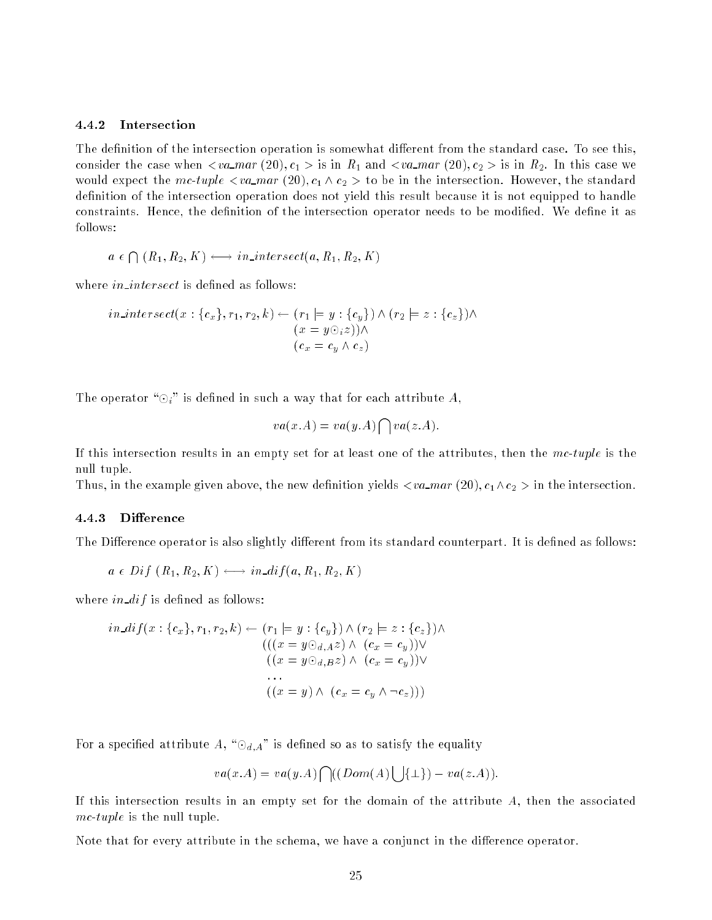#### 4.4.2Intersection

The definition of the intersection operation is somewhat different from the standard case. To see this, consider the case when  $\langle va\_mar(20), c_1 \rangle$  is in  $R_1$  and  $\langle va\_mar(20), c_2 \rangle$  is in  $R_2$ . In this case we would expect the mc-tuple  $\langle va\_mar(20), c_1 \wedge c_2 \rangle$  to be in the intersection. However, the standard definition of the intersection operation does not yield this result because it is not equipped to handle constraints. Hence, the definition of the intersection operator needs to be modified. We define it as follows:

$$
a \in \bigcap (R_1, R_2, K) \longleftrightarrow in \text{ } intersect(a, R_1, R_2, K)
$$

where  $in\_intersect$  is defined as follows:

$$
in\_intersect(x:\{c_x\}, r_1, r_2, k) \leftarrow (r_1 \models y:\{c_y\}) \land (r_2 \models z:\{c_z\}) \land (x = y \odot_i z)) \land (c_x = c_y \land c_z)
$$

The operator " $\odot_i$ " is defined in such a way that for each attribute A,

$$
va(x.A) = va(y.A) \bigcap va(z.A).
$$

If this intersection results in an empty set for at least one of the attributes, then the mc-tuple is the null tuple.

Thus, in the example given above, the new definition yields  $\langle va\_mar(20), c_1 \wedge c_2 \rangle$  in the intersection.

#### 4.4.3Difference

The Difference operator is also slightly different from its standard counterpart. It is defined as follows:

$$
a \in Diff(R_1, R_2, K) \longleftrightarrow in\_diff(a, R_1, R_2, K)
$$

where in  $dif$  is defined as follows:

$$
in\_diff(x: \{c_x\}, r_1, r_2, k) \leftarrow (r_1 \models y: \{c_y\}) \land (r_2 \models z: \{c_z\}) \land (( (x = y \odot_{d,A} z) \land (c_x = c_y)) \lor ((x = y \odot_{d,B} z) \land (c_x = c_y)) \lor ... ((x = y) \land (c_x = c_y \land \neg c_z)))
$$

For a specified attribute A, " $\odot_{d,A}$ " is defined so as to satisfy the equality

$$
va(x.A) = va(y.A) \bigcap ((Dom(A) \bigcup \{\bot\}) - va(z.A)).
$$

If this intersection results in an empty set for the domain of the attribute  $A$ , then the associated mc-tuple is the null tuple.

Note that for every attribute in the schema, we have a conjunct in the difference operator.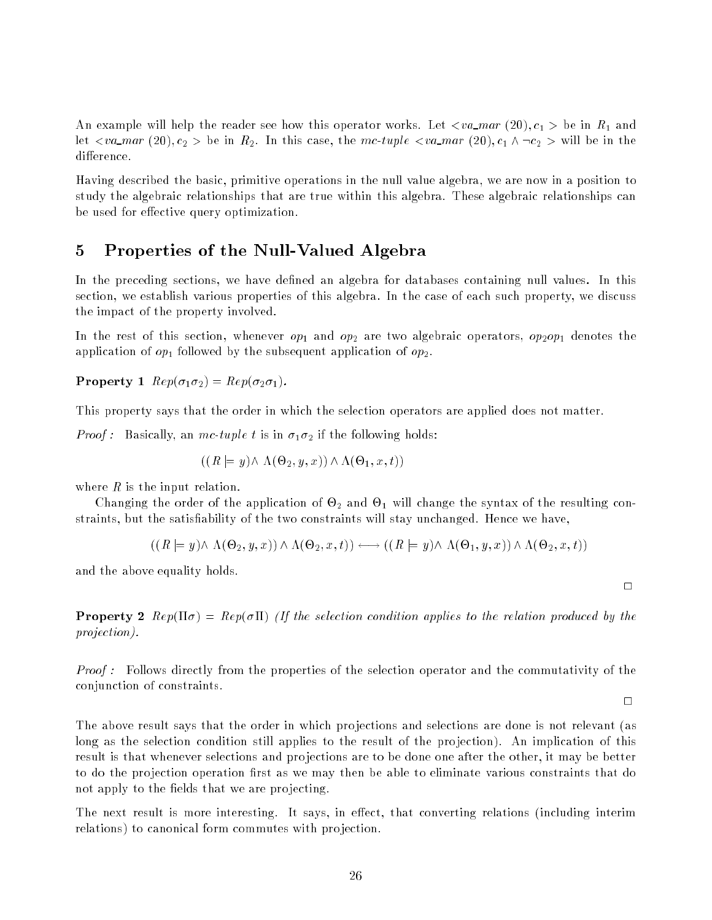An example will help the reader see how this operator works. Let  $\langle va\_mar(20), c_1 \rangle$  be in  $R_1$  and let  $\langle va\_mar(20), c_2 \rangle$  be in  $R_2$ . In this case, the mc-tuple  $\langle va\_mar(20), c_1 \wedge \neg c_2 \rangle$  will be in the difference.

Having described the basic, primitive operations in the null value algebra, we are now in a position to study the algebraic relationships that are true within this algebra. These algebraic relationships can be used for effective query optimization.

#### 5 Properties of the Null-Valued Algebra  $\overline{5}$

In the preceding sections, we have defined an algebra for databases containing null values. In this section, we establish various properties of this algebra. In the case of each such property, we discuss the impact of the property involved.

In the rest of this section, whenever  $op_1$  and  $op_2$  are two algebraic operators,  $op_2op_1$  denotes the application of  $op_1$  followed by the subsequent application of  $op_2$ .

 $P = P$   $P = P$ ,  $P = P$  ,  $P = P$  ,  $P = P$  ,  $P = P$  ,  $P = P$  ,  $P$ 

This property says that the order in which the selection operators are applied does not matter.

*Proof*: Basically, an mc-tuple t is in  $\sigma_1 \sigma_2$  if the following holds:

$$
((R \models y) \land \Lambda(\Theta_2, y, x)) \land \Lambda(\Theta_1, x, t))
$$

where  $R$  is the input relation.

changing the order of the application of  $\sigma_{\rm s}$  will change the synthesis of the synthesis of the resulting straints, but the satisfiability of the two constraints will stay unchanged. Hence we have,

$$
((R \models y) \land \Lambda(\Theta_2, y, x)) \land \Lambda(\Theta_2, x, t)) \longleftrightarrow ((R \models y) \land \Lambda(\Theta_1, y, x)) \land \Lambda(\Theta_2, x, t))
$$

and the above equality holds.

Property 2 Rep() = Rep() (If the selection condition applies to the relation produced by the projection).

Proof : Follows directly from the properties of the selection operator and the commutativity of the conjunction of constraints.

 $\Box$ 

 $\Box$ 

The above result says that the order in which projections and selections are done is not relevant (as long as the selection condition still applies to the result of the projection). An implication of this result is that whenever selections and projections are to be done one after the other, it may be better to do the projection operation first as we may then be able to eliminate various constraints that do not apply to the fields that we are projecting.

The next result is more interesting. It says, in effect, that converting relations (including interim relations) to canonical form commutes with projection.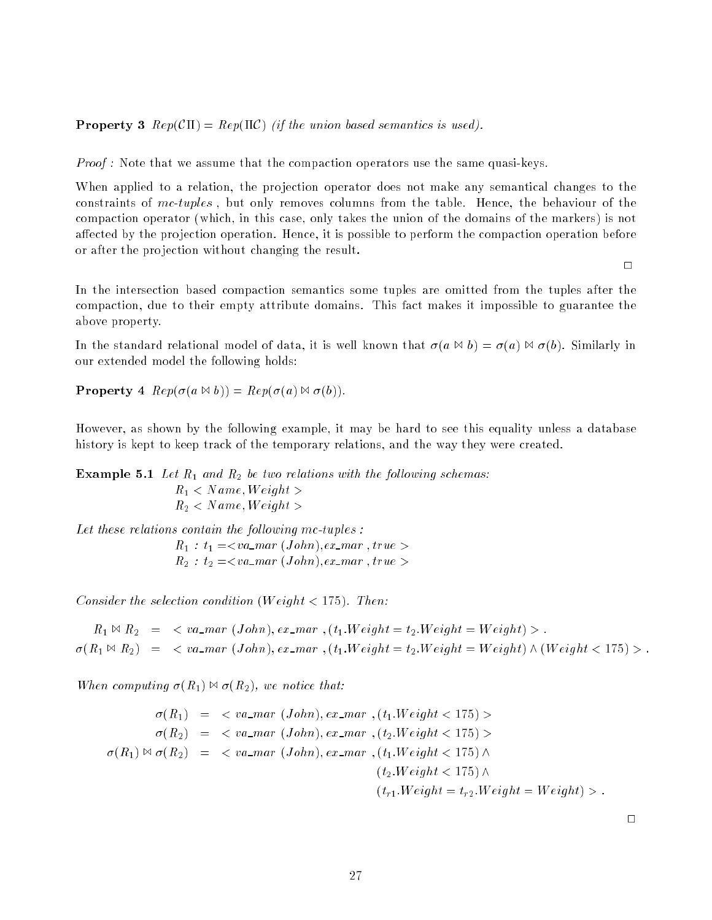Property 3 Rep(C) = Rep(C) (if the union based semantics is used).

Proof : Note that we assume that the compaction operators use the same quasi-keys.

When applied to a relation, the projection operator does not make any semantical changes to the constraints of  $mc-tuples$ , but only removes columns from the table. Hence, the behaviour of the compaction operator (which, in this case, only takes the union of the domains of the markers) is not affected by the projection operation. Hence, it is possible to perform the compaction operation before or after the projection without changing the result.

 $\Box$ 

In the intersection based compaction semantics some tuples are omitted from the tuples after the compaction, due to their empty attribute domains. This fact makes it impossible to guarantee the above property.

In the standard relational model of data, it is well known that  $\sigma(a \bowtie b) = \sigma(a) \bowtie \sigma(b)$ . Similarly in our extended model the following holds:

 $\blacksquare$   $\blacksquare$   $\blacksquare$   $\blacksquare$   $\blacksquare$   $\blacksquare$   $\blacksquare$   $\blacksquare$   $\blacksquare$   $\blacksquare$   $\blacksquare$   $\blacksquare$   $\blacksquare$   $\blacksquare$   $\blacksquare$   $\blacksquare$   $\blacksquare$   $\blacksquare$   $\blacksquare$   $\blacksquare$   $\blacksquare$   $\blacksquare$   $\blacksquare$   $\blacksquare$   $\blacksquare$   $\blacksquare$   $\blacksquare$   $\blacksquare$   $\blacksquare$   $\blacksquare$   $\blacksquare$   $\blacks$ 

However, as shown by the following example, it may be hard to see this equality unless a database history is kept to keep track of the temporary relations, and the way they were created.

Example 5.1 Let R1 and R2 be two relations with the following schemas:

 $R_1 < Name, Weight >$  $R_2 < Name, Weight >$ 

Let these relations contain the following mc-tuples :

 $R_1 : t_1 = \langle va\_mar (John), ex\_mar, true \rangle$  $R_2$ :  $t_2 = \langle va\_mar (John), ex\_mar, true \rangle$ 

Consider the selection condition (Weight  $\lt$  175). Then:

 $R_1 \bowtie R_2 = \langle va\_mar (John), ex\_mar \rangle, (t_1.Weight = t_2.Weight = Weight) \rangle.$  $\sigma(R_1 \bowtie R_2) = \langle va\_mar (John), ex\_mar, (t_1.Weight = t_2.Weight = Weight) \wedge (Weight < 175) \rangle.$ 

When computing  $\sigma(R_1) \bowtie \sigma(R_2)$ , we notice that:

$$
\sigma(R_1) = \langle va\_mar (John), ex\_mar, (t_1. Weight < 175) \rangle
$$
  
\n
$$
\sigma(R_2) = \langle va\_mar (John), ex\_mar, (t_2. Weight < 175) \rangle
$$
  
\n
$$
\sigma(R_1) \bowtie \sigma(R_2) = \langle va\_mar (John), ex\_mar, (t_1. Weight < 175) \land
$$
  
\n
$$
(t_2. Weight < 175) \land
$$
  
\n
$$
(t_{r1}.Weight = t_{r2}.Weight = Weight) \rangle.
$$

 $\Box$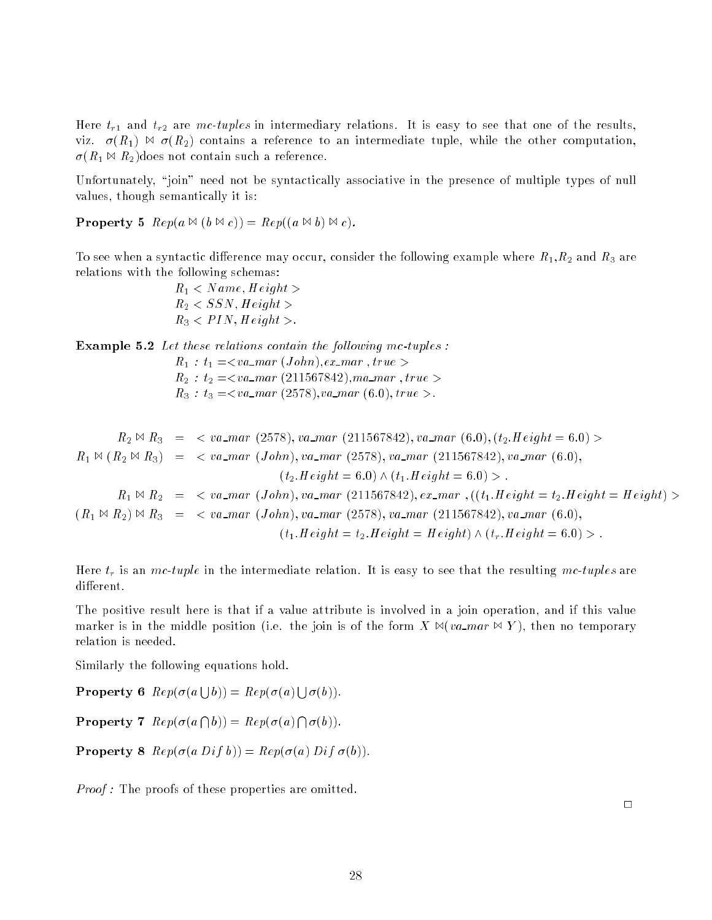Here  $t_{r1}$  and  $t_{r2}$  are mc-tuples in intermediary relations. It is easy to see that one of the results, viz.  $\sigma(R_1) \bowtie \sigma(R_2)$  contains a reference to an intermediate tuple, while the other computation.  $\sigma(R_1 \bowtie R_2)$ does not contain such a reference.

Unfortunately, "join" need not be syntactically associative in the presence of multiple types of null values, though semantically it is:

Property 5 Rep(a <sup>1</sup> (b <sup>1</sup> c)) = Rep((a <sup>1</sup> b) <sup>1</sup> c).

To see when a syntactic difference may occur, consider the following example where  $R_1, R_2$  and  $R_3$  are relations with the following schemas:

> $R_1 < Name$ , Height >  $R_2 < SSN$ ,  $Height >$  $R_3 < PIN, Height >$ .

Example 5.2 Let these relations contain the following mc-tuples :

 $R_1$  :  $t_1 = \langle va\_mar (John), ex\_mar, true \rangle$  $R_2$ :  $t_2$  =  $\lt$ va\_mar (211567842), ma\_mar , true >  $R_3: t_3 = \langle va\_mar(2578), va\_mar(6.0), true \rangle.$ 

$$
R_2 \bowtie R_3 = \langle va\_mar (2578), va\_mar (211567842), va\_mar (6.0), (t_2.Height = 6.0) \rangle
$$
  
\n
$$
R_1 \bowtie (R_2 \bowtie R_3) = \langle va\_mar (John), va\_mar (2578), va\_mar (211567842), va\_mar (6.0),
$$
  
\n
$$
(t_2.Height = 6.0) \land (t_1.Height = 6.0) \rangle.
$$
  
\n
$$
R_1 \bowtie R_2 = \langle va\_mar (John), va\_mar (211567842), ex\_mar, ((t_1.Height = t_2.Height = Height) \rangle)
$$
  
\n
$$
(R_1 \bowtie R_2) \bowtie R_3 = \langle va\_mar (John), va\_mar (2578), va\_mar (211567842), va\_mar (6.0),
$$
  
\n
$$
(t_1.Height = t_2.Height = Height) \land (t_r.Height = 6.0) \rangle.
$$

Here  $t_r$  is an mc-tuple in the intermediate relation. It is easy to see that the resulting mc-tuples are different.

The positive result here is that if a value attribute is involved in a join operation, and if this value marker is in the middle position (i.e. the join is of the form  $X \bowtie (va\_mar \bowtie Y)$ , then no temporary relation is needed.

Similarly the following equations hold.

**Property 6**  $Rep(\sigma(a \mid b)) = Rep(\sigma(a) \mid \sigma(b)).$ 

Property 7 Rep((a  $\sim$  $\blacksquare$ )  $\blacksquare$   $\blacksquare$   $\blacksquare$   $\blacksquare$   $\blacksquare$   $\blacksquare$   $\blacksquare$   $\blacksquare$   $\blacksquare$   $\blacksquare$   $\blacksquare$   $\blacksquare$   $\blacksquare$   $\blacksquare$   $\blacksquare$   $\blacksquare$   $\blacksquare$   $\blacksquare$   $\blacksquare$   $\blacksquare$   $\blacksquare$   $\blacksquare$   $\blacksquare$   $\blacksquare$   $\blacksquare$   $\blacksquare$   $\blacksquare$   $\blacksquare$   $\blacksquare$   $\blacksquare$   $\bl$  $\sim$ (b)).

Property 8 Rep((a Dif b)) = Rep((a) Dif (b)).

*Proof*: The proofs of these properties are omitted.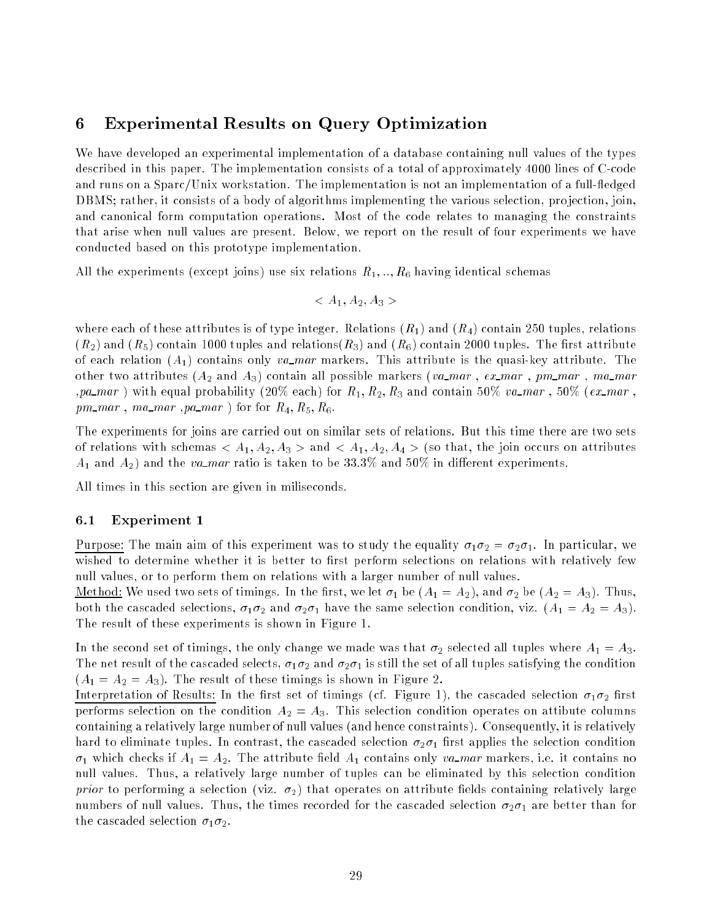### 6 Experimental Results on Query Optimization

We have developed an experimental implementation of a database containing null values of the types described in this paper. The implementation consists of a total of approximately 4000 lines of C-code and runs on a  $Sparc/Unix$  workstation. The implementation is not an implementation of a full-fledged DBMS; rather, it consists of a body of algorithms implementing the various selection, projection, join. and canonical form computation operations. Most of the code relates to managing the constraints that arise when null values are present. Below, we report on the result of four experiments we have conducted based on this prototype implementation.

All the experiments (except joins) use six relations  $R_1, \ldots, R_6$  having identical schemas

$$
\langle A_1, A_2, A_3 \rangle
$$

where each of these attributes is of type integer. Relations  $(R_1)$  and  $(R_4)$  contain 250 tuples, relations  $(R_2)$  and  $(R_5)$  contain 1000 tuples and relations( $R_3$ ) and  $(R_6)$  contain 2000 tuples. The first attribute of each relation  $(A_1)$  contains only va markers. This attribute is the quasi-key attribute. The other two attributes  $(A_2 \text{ and } A_3)$  contain all possible markers (va mar, ex mar, pm mar, ma mar , pa mar) with equal probability (20% each) for  $R_1, R_2, R_3$  and contain 50% va mar, 50% (ex mar,  $pm\_mar$ , ma\_mar, pa\_mar) for for  $R_4, R_5, R_6$ .

The experiments for joins are carried out on similar sets of relations. But this time there are two sets of relations with schemas  $\langle A_1, A_2, A_3 \rangle$  and  $\langle A_1, A_2, A_4 \rangle$  (so that, the join occurs on attributes  $A_1$  and  $A_2$ ) and the va\_mar ratio is taken to be 33.3% and 50% in different experiments.

All times in this section are given in miliseconds.

#### 6.1Experiment 1

Purpose: The main aim of this experiment was to study the equality  $\sigma_1 \sigma_2 = \sigma_2 \sigma_1$ . In particular, we wished to determine whether it is better to first perform selections on relations with relatively few null values, or to perform them on relations with a larger number of null values.

<u>Method:</u> We used two sets of timings. In the first, we let  $\sigma_1$  be  $(A_1 = A_2)$ , and  $\sigma_2$  be  $(A_2 = A_3)$ . Thus, both the cascaded selections,  $\sigma_1 \sigma_2$  and  $\sigma_2 \sigma_1$  have the same selection condition, viz.  $(A_1 = A_2 = A_3)$ . The result of these experiments is shown in Figure 1.

In the second set of timings, the only change we made was that  $\sigma_2$  selected all tuples where  $A_1 = A_3$ . The net result of the cascaded selects,  $\sigma_1 \sigma_2$  and  $\sigma_2 \sigma_1$  is still the set of all tuples satisfying the condition  $(A_1 = A_2 = A_3)$ . The result of these timings is shown in Figure 2.

Interpretation of Results: In the first set of timings (cf. Figure 1), the cascaded selection  $\sigma_1\sigma_2$  first performs selection on the condition  $A_2 = A_3$ . This selection condition operates on attibute columns containing a relatively large number of null values (and hence constraints). Consequently, it is relatively hard to eliminate tuples. In contrast, the cascaded selection  $\sigma_2 \sigma_1$  first applies the selection condition  $\sigma_1$  which checks if  $A_1 = A_2$ . The attribute field  $A_1$  contains only va markers, i.e. it contains no null values. Thus, a relatively large number of tuples can be eliminated by this selection condition prior to performing a selection (viz.  $\sigma_2$ ) that operates on attribute fields containing relatively large numbers of null values. Thus, the times recorded for the cascaded selection  $\sigma_2 \sigma_1$  are better than for the cascaded selection  $\sigma_1 \sigma_2$ .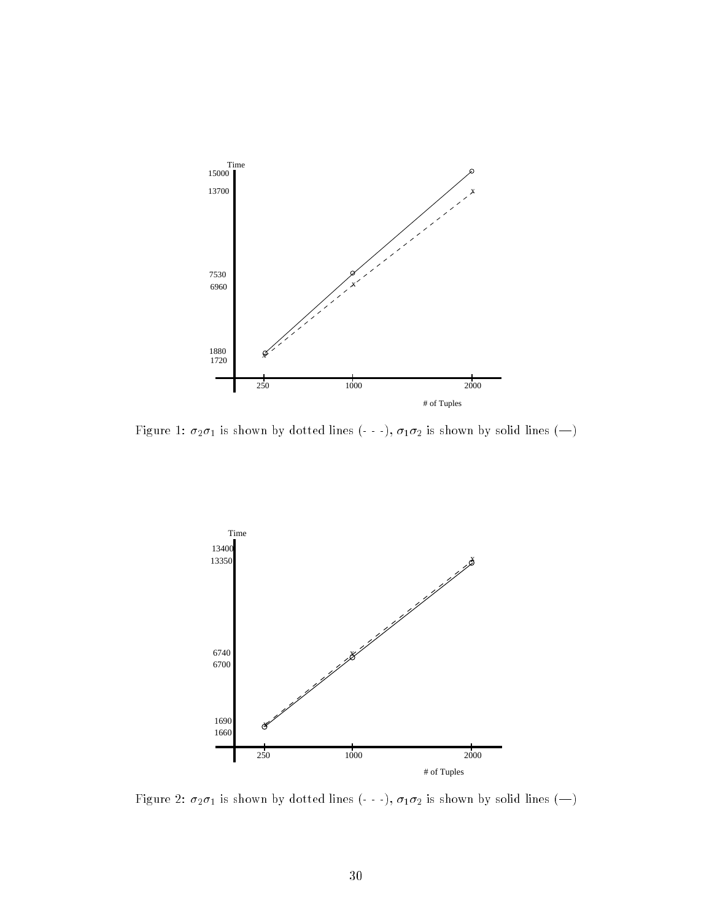

Figure 1:  $\sigma_2\sigma_1$  is shown by dotted lines (- - -),  $\sigma_1\sigma_2$  is shown by solid lines (-)



Figure 2:  $\sigma_2 \sigma_1$  is shown by dotted lines (- - -),  $\sigma_1 \sigma_2$  is shown by solid lines (--)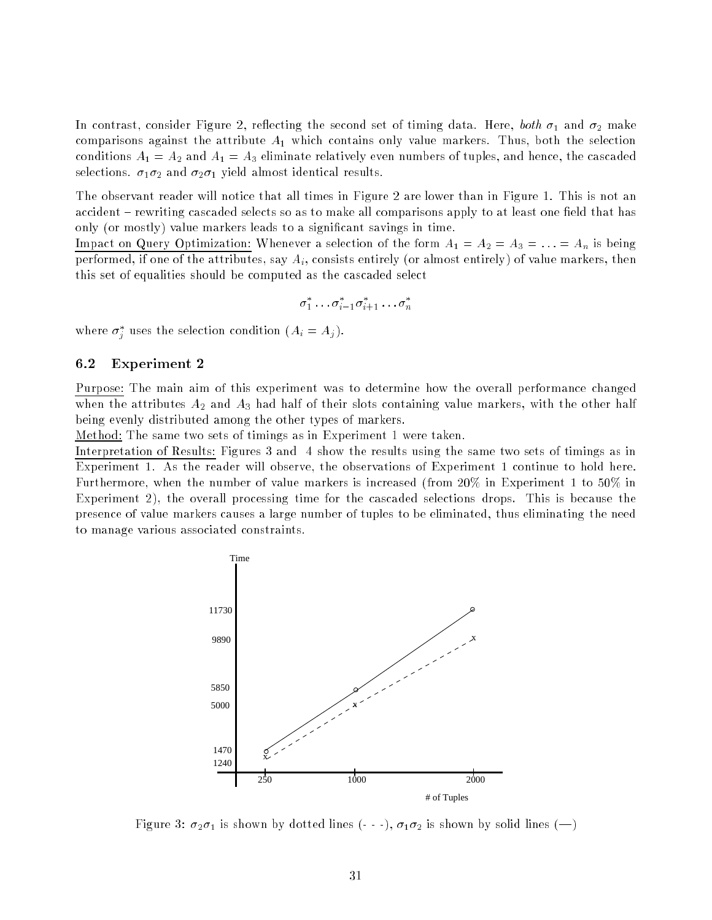In contrast, consider Figure 2, reflecting the second set of timing data. Here, both  $\sigma_1$  and  $\sigma_2$  make comparisons against the attribute  $A_1$  which contains only value markers. Thus, both the selection conditions  $A_1 = A_2$  and  $A_1 = A_3$  eliminate relatively even numbers of tuples, and hence, the cascaded selections.  $\sigma_1 \sigma_2$  and  $\sigma_2 \sigma_1$  yield almost identical results.

The observant reader will notice that all times in Figure 2 are lower than in Figure 1. This is not an accident - rewriting cascaded selects so as to make all comparisons apply to at least one field that has only (or mostly) value markers leads to a signicant savings in time.

Impact on Query Optimization: Whenever a selection of the form  $A_1 = A_2 = A_3 = \ldots = A_n$  is being performed, if one of the attributes, say  $A_i$ , consists entirely (or almost entirely) of value markers, then this set of equalities should be computed as the cascaded select

$$
\sigma_1^* \ldots \sigma_{i-1}^* \sigma_{i+1}^* \ldots \sigma_n^*
$$

where  $\sigma_j$  uses the selection condition  $(A_i = A_j)$ .

#### 6.2Experiment 2

Purpose: The main aim of this experiment was to determine how the overall performance changed when the attributes  $A_2$  and  $A_3$  had half of their slots containing value markers, with the other half being evenly distributed among the other types of markers.

Method: The same two sets of timings as in Experiment 1 were taken.

Interpretation of Results: Figures 3 and <sup>4</sup> show the results using the same two sets of timings as in Experiment 1. As the reader will observe, the observations of Experiment 1 continue to hold here. Furthermore, when the number of value markers is increased (from 20% in Experiment 1 to 50% in Experiment 2), the overall processing time for the cascaded selections drops. This is because the presence of value markers causes a large number of tuples to be eliminated, thus eliminating the need to manage various associated constraints.



Figure 3:  $\sigma_2\sigma_1$  is shown by dotted lines (- - -),  $\sigma_1\sigma_2$  is shown by solid lines (-)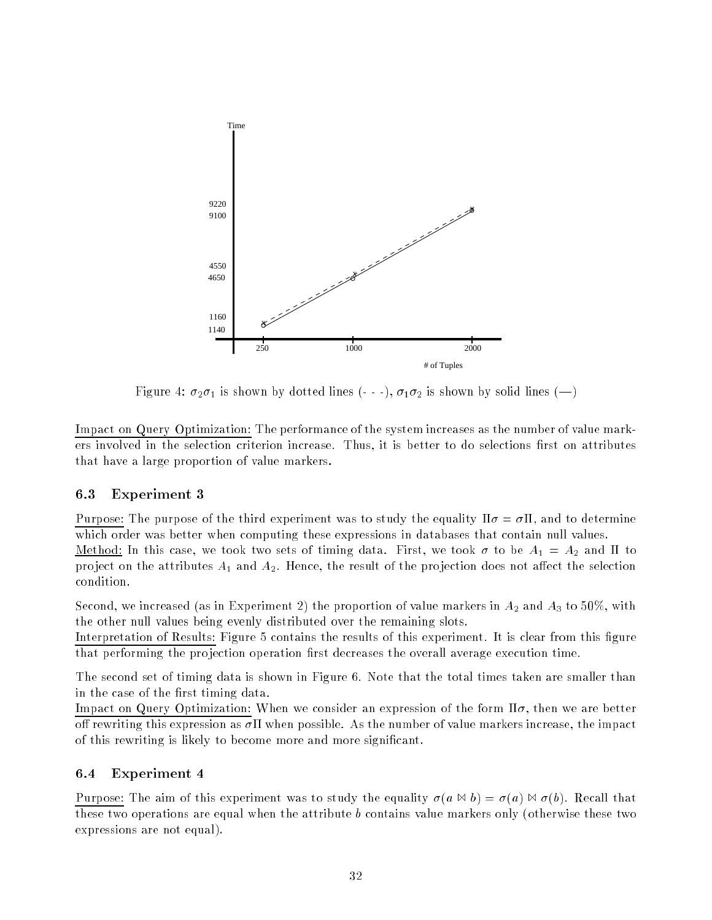

Figure 4:  $\sigma_2\sigma_1$  is shown by dotted lines (- - -),  $\sigma_1\sigma_2$  is shown by solid lines (-)

Impact on Query Optimization: The performance of the system increases as the number of value markers involved in the selection criterion increase. Thus, it is better to do selections first on attributes that have a large proportion of value markers.

#### 6.3Experiment 3

Purpose: The purpose of the third experiment was to study the equality  $\Pi \sigma = \sigma \Pi$ , and to determine which order was better when computing these expressions in databases that contain null values. Method: In this case, we took two sets of timing data. First, we took  $\sigma$  to be  $A_1 = A_2$  and  $\Pi$  to project on the attributes  $A_1$  and  $A_2$ . Hence, the result of the projection does not affect the selection condition.

Second, we increased (as in Experiment 2) the proportion of value markers in  $A_2$  and  $A_3$  to 50%, with the other null values being evenly distributed over the remaining slots.

Interpretation of Results: Figure 5 contains the results of this experiment. It is clear from this figure that performing the projection operation first decreases the overall average execution time.

The second set of timing data is shown in Figure 6. Note that the total times taken are smaller than in the case of the first timing data.

Impact on Query Optimization: When we consider an expression of the form  $\Pi\sigma$ , then we are better off rewriting this expression as  $\sigma$ II when possible. As the number of value markers increase, the impact of this rewriting is likely to become more and more signicant.

#### 6.4Experiment 4

Purpose: The aim of this experiment was to study the equality  $\sigma(a \bowtie b) = \sigma(a) \bowtie \sigma(b)$ . Recall that these two operations are equal when the attribute b contains value markers only (otherwise these two expressions are not equal).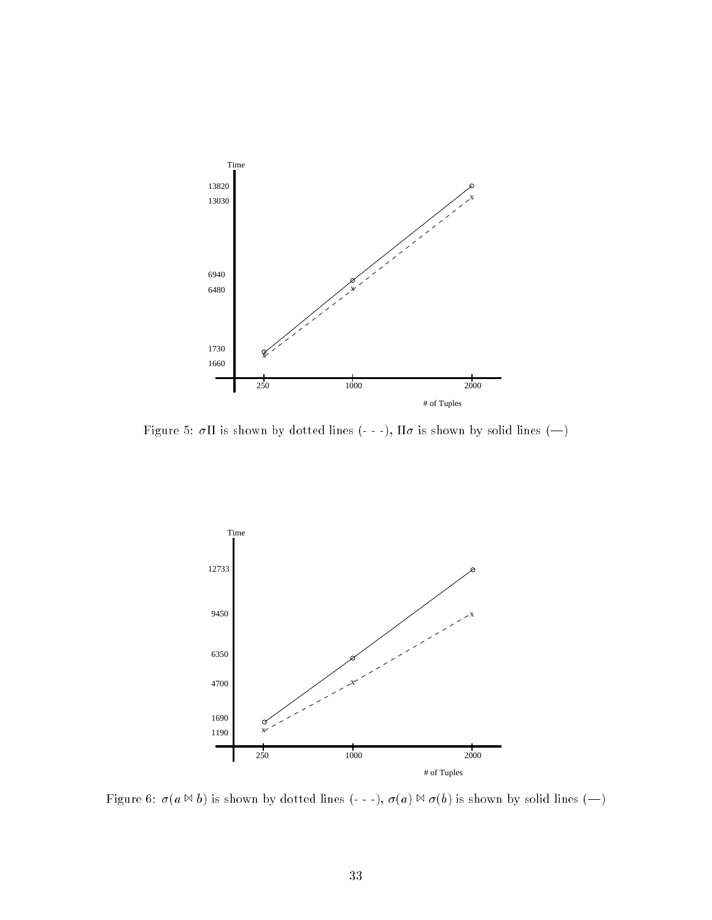

Figure 5:  $\sigma \Pi$  is shown by dotted lines (- - -),  $\Pi \sigma$  is shown by solid lines (--)



Figure 6:  $\sigma(a \bowtie b)$  is shown by dotted lines (- - -),  $\sigma(a) \bowtie \sigma(b)$  is shown by solid lines (-)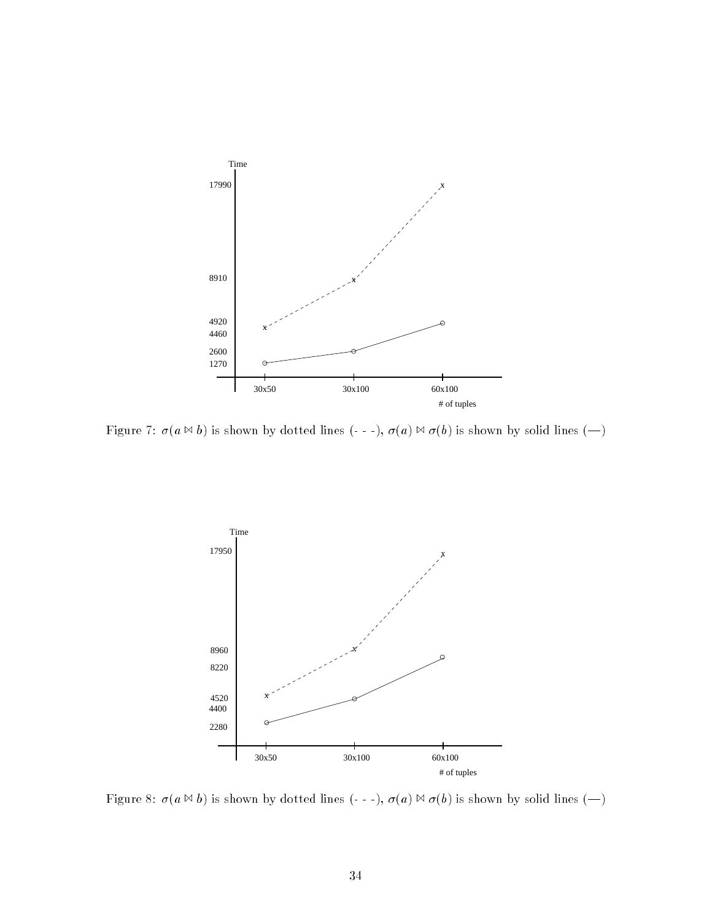

Figure 7:  $\sigma(a \bowtie b)$  is shown by dotted lines (- - -),  $\sigma(a) \bowtie \sigma(b)$  is shown by solid lines (-)



Figure 8:  $\sigma(a \bowtie b)$  is shown by dotted lines (- - -),  $\sigma(a) \bowtie \sigma(b)$  is shown by solid lines (-)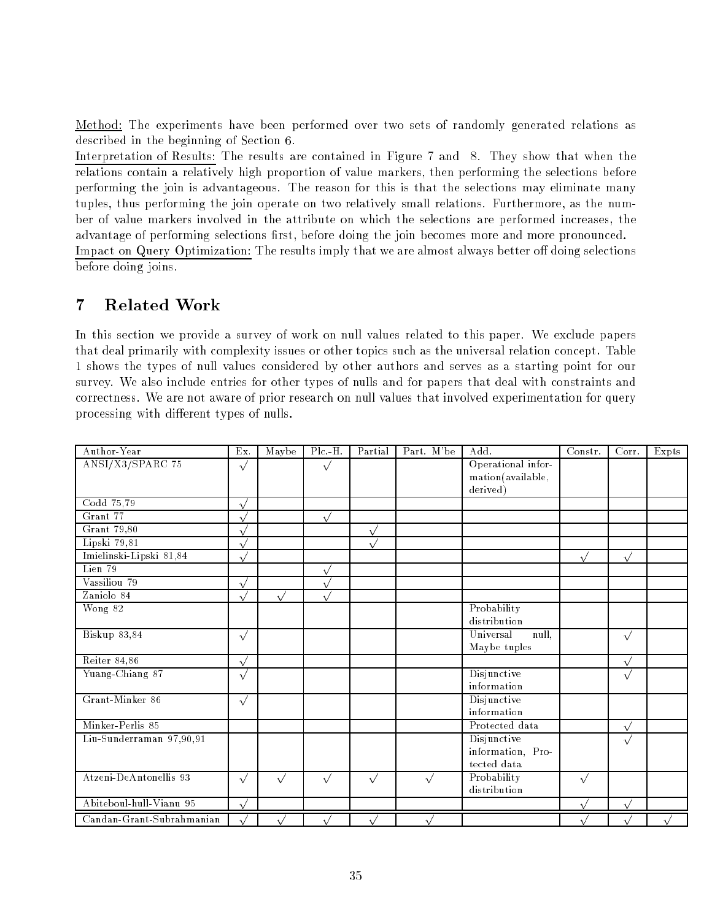Method: The experiments have been performed over two sets of randomly generated relations as described in the beginning of Section 6.

Interpretation of Results: The results are contained in Figure 7 and 8. They show that when the relations contain a relatively high proportion of value markers, then performing the selections before performing the join is advantageous. The reason for this is that the selections may eliminate many tuples, thus performing the join operate on two relatively small relations. Furthermore, as the number of value markers involved in the attribute on which the selections are performed increases, the advantage of performing selections first, before doing the join becomes more and more pronounced. Impact on Query Optimization: The results imply that we are almost always better off doing selections before doing joins.

## 7 Related Work

In this section we provide a survey of work on null values related to this paper. We exclude papers that deal primarily with complexity issues or other topics such as the universal relation concept. Table 1 shows the types of null values considered by other authors and serves as a starting point for our survey. We also include entries for other types of nulls and for papers that deal with constraints and correctness. We are not aware of prior research on null values that involved experimentation for query processing with different types of nulls.

| Author-Year                | Ex.        | Maybe     | $Plc-H.$     | Partial   | Part. M'be | Add.               | Constr.    | Corr.      | Expts |
|----------------------------|------------|-----------|--------------|-----------|------------|--------------------|------------|------------|-------|
| ANSI/X3/SPARC 75           | $\sqrt{}$  |           | $\sqrt{}$    |           |            | Operational infor- |            |            |       |
|                            |            |           |              |           |            | mation(available,  |            |            |       |
|                            |            |           |              |           |            | derived)           |            |            |       |
| Codd 75,79                 | $\sqrt{ }$ |           |              |           |            |                    |            |            |       |
| Grant 77                   |            |           | $\sqrt{ }$   |           |            |                    |            |            |       |
| Grant 79,80                | $\sqrt{ }$ |           |              | $\vee$    |            |                    |            |            |       |
| Lipski 79,81               | $\sqrt{ }$ |           |              |           |            |                    |            |            |       |
| Imielinski-Lipski 81,84    | $\sqrt{}$  |           |              |           |            |                    | $\sqrt{}$  | $\sqrt{}$  |       |
| Lien 79                    |            |           | $\sqrt{ }$   |           |            |                    |            |            |       |
| Vassiliou 79               | $\sqrt{ }$ |           | $\sqrt{2}$   |           |            |                    |            |            |       |
| Zaniolo 84                 | $\sqrt{ }$ | $\sqrt{}$ | $\mathbf{v}$ |           |            |                    |            |            |       |
| Wong 82                    |            |           |              |           |            | Probability        |            |            |       |
|                            |            |           |              |           |            | distribution       |            |            |       |
| $Bis \overline{kup 83,84}$ | $\sqrt{}$  |           |              |           |            | Universal<br>null, |            | $\sqrt{}$  |       |
|                            |            |           |              |           |            | Maybe tuples       |            |            |       |
| Reiter 84,86               | $\sqrt{ }$ |           |              |           |            |                    |            | $\sqrt{ }$ |       |
| Yuang-Chiang 87            | $\sqrt{}$  |           |              |           |            | Disjunctive        |            | $\sqrt{}$  |       |
|                            |            |           |              |           |            | information        |            |            |       |
| Grant-Minker 86            | $\sqrt{}$  |           |              |           |            | Disjunctive        |            |            |       |
|                            |            |           |              |           |            | information        |            |            |       |
| Minker-Perlis 85           |            |           |              |           |            | Protected data     |            | $\sqrt{ }$ |       |
| Liu-Sunderraman 97,90,91   |            |           |              |           |            | Disjunctive        |            | $\sqrt{}$  |       |
|                            |            |           |              |           |            | information, Pro-  |            |            |       |
|                            |            |           |              |           |            | tected data        |            |            |       |
| Atzeni-DeAntonellis 93     | $\sqrt{}$  | $\sqrt{}$ | $\sqrt{}$    | $\sqrt{}$ | $\sqrt{}$  | Probability        | $\sqrt{}$  |            |       |
|                            |            |           |              |           |            | distribution       |            |            |       |
| Abiteboul-hull-Vianu 95    | $\sqrt{ }$ |           |              |           |            |                    | $\sqrt{ }$ | $\sqrt{ }$ |       |
| Candan-Grant-Subrahmanian  |            |           |              |           |            |                    |            |            |       |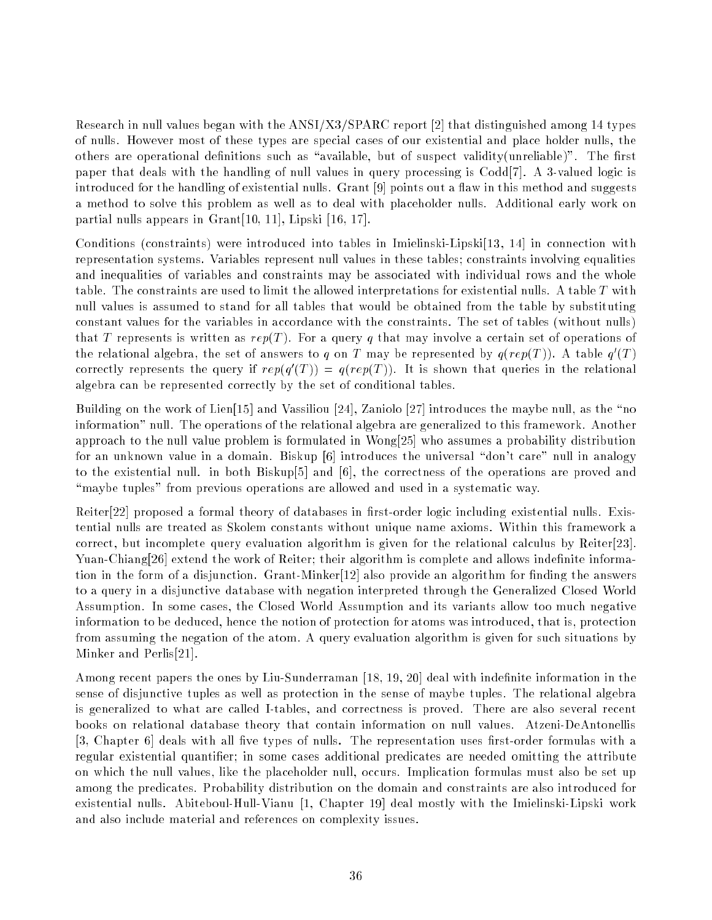Research in null values began with the ANSI/X3/SPARC report [2] that distinguished among 14 types of nulls. However most of these types are special cases of our existential and place holder nulls, the others are operational definitions such as "available, but of suspect validity(unreliable)". The first paper that deals with the handling of null values in query processing is  $Codd[7]$ . A 3-valued logic is introduced for the handling of existential nulls. Grant [9] points out a flaw in this method and suggests a method to solve this problem as well as to deal with placeholder nulls. Additional early work on partial nulls appears in Grant[10, 11], Lipski [16, 17].

Conditions (constraints) were introduced into tables in Imielinski-Lipski[13, 14] in connection with representation systems. Variables represent null values in these tables; constraints involving equalities and inequalities of variables and constraints may be associated with individual rows and the whole table. The constraints are used to limit the allowed interpretations for existential nulls. A table T with null values is assumed to stand for all tables that would be obtained from the table by substituting constant values for the variables in accordance with the constraints. The set of tables (without nulls) that T represents is written as  $rep(T)$ . For a query q that may involve a certain set of operations of the relational algebra, the set of answers to q on T may be represented by  $q(rep(T))$ . A table  $q(T)$ correctly represents the query if  $rep(q+1|) = q(rep(T))$ . It is shown that queries in the relational algebra can be represented correctly by the set of conditional tables.

Building on the work of Lien<sup>[15]</sup> and Vassiliou [24], Zaniolo [27] introduces the maybe null, as the "no information" null. The operations of the relational algebra are generalized to this framework. Another approach to the null value problem is formulated in Wong[25] who assumes a probability distribution for an unknown value in a domain. Biskup [6] introduces the universal "don't care" null in analogy to the existential null. in both Biskup[5] and [6], the correctness of the operations are proved and "maybe tuples" from previous operations are allowed and used in a systematic way.

Reiter[22] proposed a formal theory of databases in first-order logic including existential nulls. Existential nulls are treated as Skolem constants without unique name axioms. Within this framework a correct, but incomplete query evaluation algorithm is given for the relational calculus by Reiter[23]. Yuan-Chiang[26] extend the work of Reiter; their algorithm is complete and allows indefinite information in the form of a disjunction. Grant-Minker<sup>[12]</sup> also provide an algorithm for finding the answers to a query in a disjunctive database with negation interpreted through the Generalized Closed World Assumption. In some cases, the Closed World Assumption and its variants allow too much negative information to be deduced, hence the notion of protection for atoms was introduced, that is, protection from assuming the negation of the atom. A query evaluation algorithm is given for such situations by Minker and Perlis[21].

Among recent papers the ones by Liu-Sunderraman [18, 19, 20] deal with indefinite information in the sense of disjunctive tuples as well as protection in the sense of maybe tuples. The relational algebra is generalized to what are called I-tables, and correctness is proved. There are also several recent books on relational database theory that contain information on null values. Atzeni-DeAntonellis  $[3, Chapter 6]$  deals with all five types of nulls. The representation uses first-order formulas with a regular existential quantier; in some cases additional predicates are needed omitting the attribute on which the null values, like the placeholder null, occurs. Implication formulas must also be set up among the predicates. Probability distribution on the domain and constraints are also introduced for existential nulls. Abiteboul-Hull-Vianu [1, Chapter 19] deal mostly with the Imielinski-Lipski work and also include material and references on complexity issues.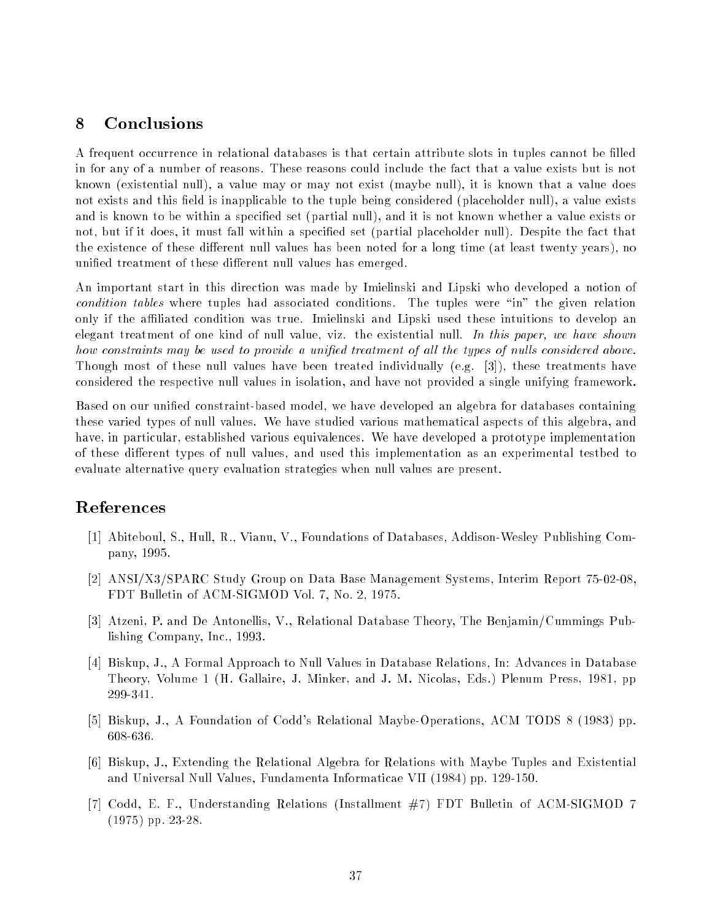### 8 Conclusions

A frequent occurrence in relational databases is that certain attribute slots in tuples cannot be filled in for any of a number of reasons. These reasons could include the fact that a value exists but is not known (existential null), a value may or may not exist (maybe null), it is known that a value does not exists and this field is inapplicable to the tuple being considered (placeholder null), a value exists and is known to be within a specied set (partial null), and it is not known whether a value exists or not, but if it does, it must fall within a specied set (partial placeholder null). Despite the fact that the existence of these different null values has been noted for a long time (at least twenty years), no unified treatment of these different null values has emerged.

An important start in this direction was made by Imielinski and Lipski who developed a notion of condition tables where tuples had associated conditions. The tuples were "in" the given relation only if the aliated condition was true. Imielinski and Lipski used these intuitions to develop an elegant treatment of one kind of null value, viz. the existential null. In this paper, we have shown how constraints may be used to provide a unified treatment of all the types of nulls considered above. Though most of these null values have been treated individually (e.g. [3]), these treatments have considered the respective null values in isolation, and have not provided a single unifying framework.

Based on our unified constraint-based model, we have developed an algebra for databases containing these varied types of null values. We have studied various mathematical aspects of this algebra, and have, in particular, established various equivalences. We have developed a prototype implementation of these different types of null values, and used this implementation as an experimental testbed to evaluate alternative query evaluation strategies when null values are present.

### References

- [1] Abiteboul, S., Hull, R., Vianu, V., Foundations of Databases, Addison-Wesley Publishing Company, 1995.
- [2] ANSI/X3/SPARC Study Group on Data Base Management Systems, Interim Report 75-02-08, FDT Bulletin of ACM-SIGMOD Vol. 7, No. 2, 1975.
- [3] Atzeni, P. and De Antonellis, V., Relational Database Theory, The Benjamin/Cummings Publishing Company, Inc., 1993.
- [4] Biskup, J., A Formal Approach to Null Values in Database Relations, In: Advances in Database Theory, Volume 1 (H. Gallaire, J. Minker, and J. M. Nicolas, Eds.) Plenum Press, 1981, pp 299-341.
- [5] Biskup, J., A Foundation of Codd's Relational Maybe-Operations, ACM TODS 8 (1983) pp. 608-636.
- [6] Biskup, J., Extending the Relational Algebra for Relations with Maybe Tuples and Existential and Universal Null Values, Fundamenta Informaticae VII (1984) pp. 129-150.
- [7] Codd, E. F., Understanding Relations (Installment #7) FDT Bulletin of ACM-SIGMOD 7 (1975) pp. 23-28.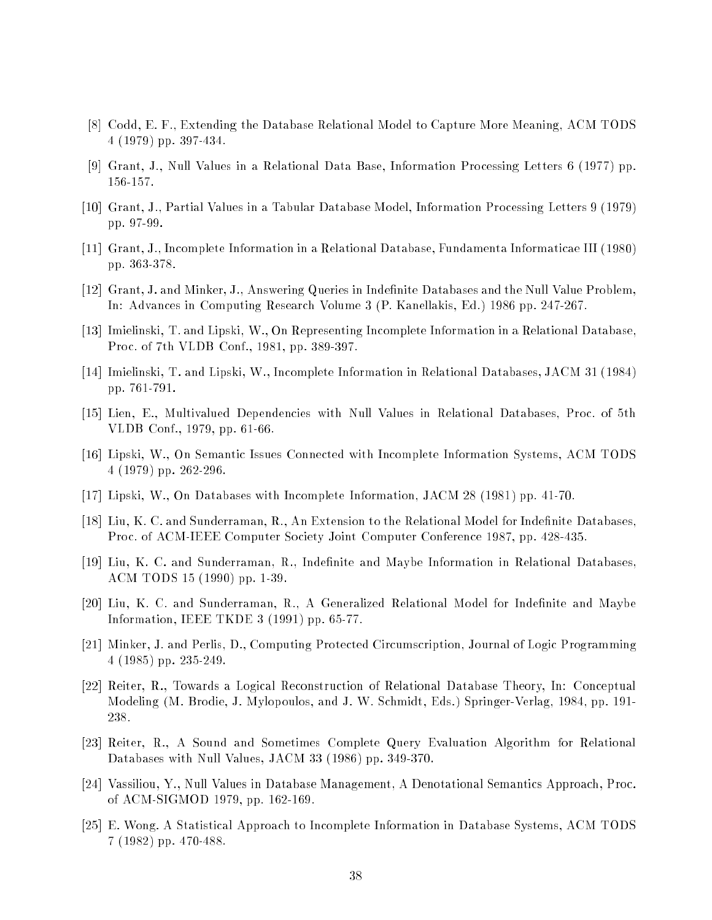- [8] Codd, E. F., Extending the Database Relational Model to Capture More Meaning, ACM TODS 4 (1979) pp. 397-434.
- [9] Grant, J., Null Values in a Relational Data Base, Information Processing Letters 6 (1977) pp. 156-157.
- [10] Grant, J., Partial Values in a Tabular Database Model, Information Processing Letters 9 (1979) pp. 97-99.
- [11] Grant, J., Incomplete Information in a Relational Database, Fundamenta Informaticae III (1980) pp. 363-378.
- [12] Grant, J. and Minker, J., Answering Queries in Indenite Databases and the Null Value Problem, In: Advances in Computing Research Volume 3 (P. Kanellakis, Ed.) 1986 pp. 247-267.
- [13] Imielinski, T. and Lipski, W., On Representing Incomplete Information in a Relational Database, Proc. of 7th VLDB Conf., 1981, pp. 389-397.
- [14] Imielinski, T. and Lipski, W., Incomplete Information in Relational Databases, JACM 31 (1984) pp. 761-791.
- [15] Lien, E., Multivalued Dependencies with Null Values in Relational Databases, Proc. of 5th VLDB Conf., 1979, pp. 61-66.
- [16] Lipski, W., On Semantic Issues Connected with Incomplete Information Systems, ACM TODS 4 (1979) pp. 262-296.
- [17] Lipski, W., On Databases with Incomplete Information, JACM 28 (1981) pp. 41-70.
- [18] Liu, K. C. and Sunderraman, R., An Extension to the Relational Model for Indefinite Databases. Proc. of ACM-IEEE Computer Society Joint Computer Conference 1987, pp. 428-435.
- [19] Liu, K. C. and Sunderraman, R., Indefinite and Maybe Information in Relational Databases. ACM TODS 15 (1990) pp. 1-39.
- [20] Liu, K. C. and Sunderraman, R., A Generalized Relational Model for Indefinite and Maybe Information, IEEE TKDE 3 (1991) pp. 65-77.
- [21] Minker, J. and Perlis, D., Computing Protected Circumscription, Journal of Logic Programming 4 (1985) pp. 235-249.
- [22] Reiter, R., Towards a Logical Reconstruction of Relational Database Theory, In: Conceptual Modeling (M. Brodie, J. Mylopoulos, and J. W. Schmidt, Eds.) Springer-Verlag, 1984, pp. 191- 238.
- [23] Reiter, R., A Sound and Sometimes Complete Query Evaluation Algorithm for Relational Databases with Null Values, JACM 33 (1986) pp. 349-370.
- [24] Vassiliou, Y., Null Values in Database Management, A Denotational Semantics Approach, Proc. of ACM-SIGMOD 1979, pp. 162-169.
- [25] E. Wong. A Statistical Approach to Incomplete Information in Database Systems, ACM TODS 7 (1982) pp. 470-488.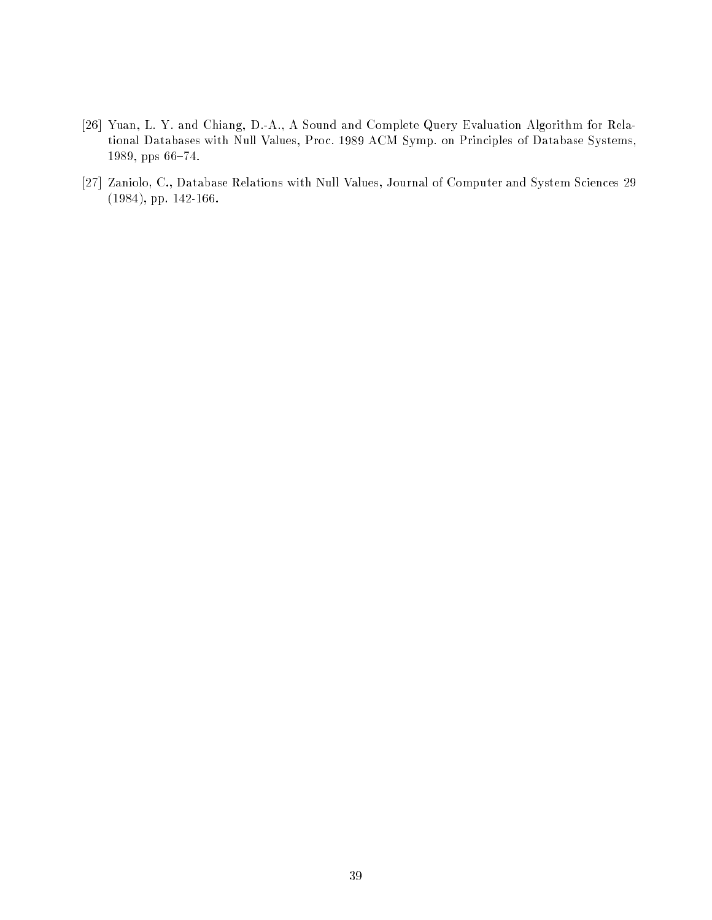- [26] Yuan, L. Y. and Chiang, D.-A., A Sound and Complete Query Evaluation Algorithm for Relational Databases with Null Values, Proc. 1989 ACM Symp. on Principles of Database Systems, 1989, pps 66-74.
- [27] Zaniolo, C., Database Relations with Null Values, Journal of Computer and System Sciences 29 (1984), pp. 142-166.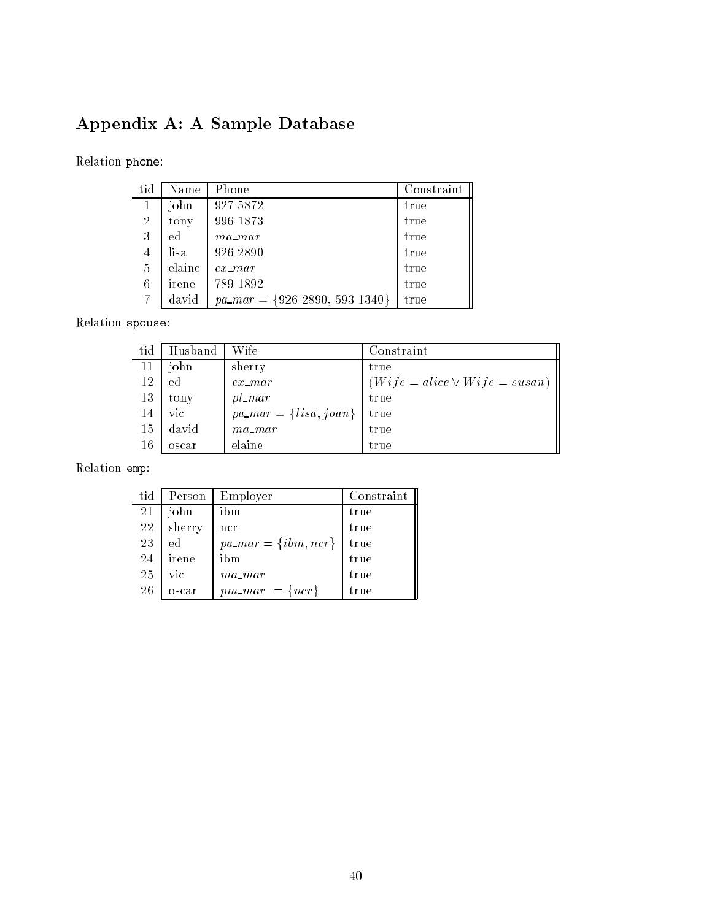# Appendix A: A Sample Database

Relation phone:

| tid            | Name   | Phone                                | Constraint |
|----------------|--------|--------------------------------------|------------|
| 1              | john   | 927 5872                             | true       |
| $\overline{2}$ | tony   | 996 1873                             | true       |
| 3              | ed     | $ma\_mar$                            | true       |
| $\overline{4}$ | lisa   | 926 2890                             | true       |
| 5              | elaine | $ex$ $mar$                           | true       |
| 6              | irene  | 789 1892                             | true       |
| 7              | david  | $pa\_mar = \{926\ 2890, 593\ 1340\}$ | true       |

Relation spouse:

| tid | Husband | Wife                       | Constraint                         |
|-----|---------|----------------------------|------------------------------------|
| 11  | john    | sherry                     | true                               |
| 12  | ed      | $ex\_mar$                  | $(Wife = alice \vee Wife = susan)$ |
| 13  | tony    | $pl\_mar$                  | true                               |
| 14  | vic.    | $pa\_mar = \{lisa, joan\}$ | true                               |
| 15  | david   | $ma$ mar                   | true                               |
| 16  | oscar   | elaine                     | true                               |

### Relation emp:

| tid | Person | Employer                 | Constraint |
|-----|--------|--------------------------|------------|
| 21  | john   | ibm                      | true       |
| 22  | sherry | ncr                      | true       |
| 23  | ed     | $pa\_mar = \{ibm, ncr\}$ | true       |
| 24  | irene  | ibm                      | true       |
| 25  | vic    | $ma$ mar                 | true       |
| 26  | oscar  | $pm\_mar = \{ncr\}$      | true       |